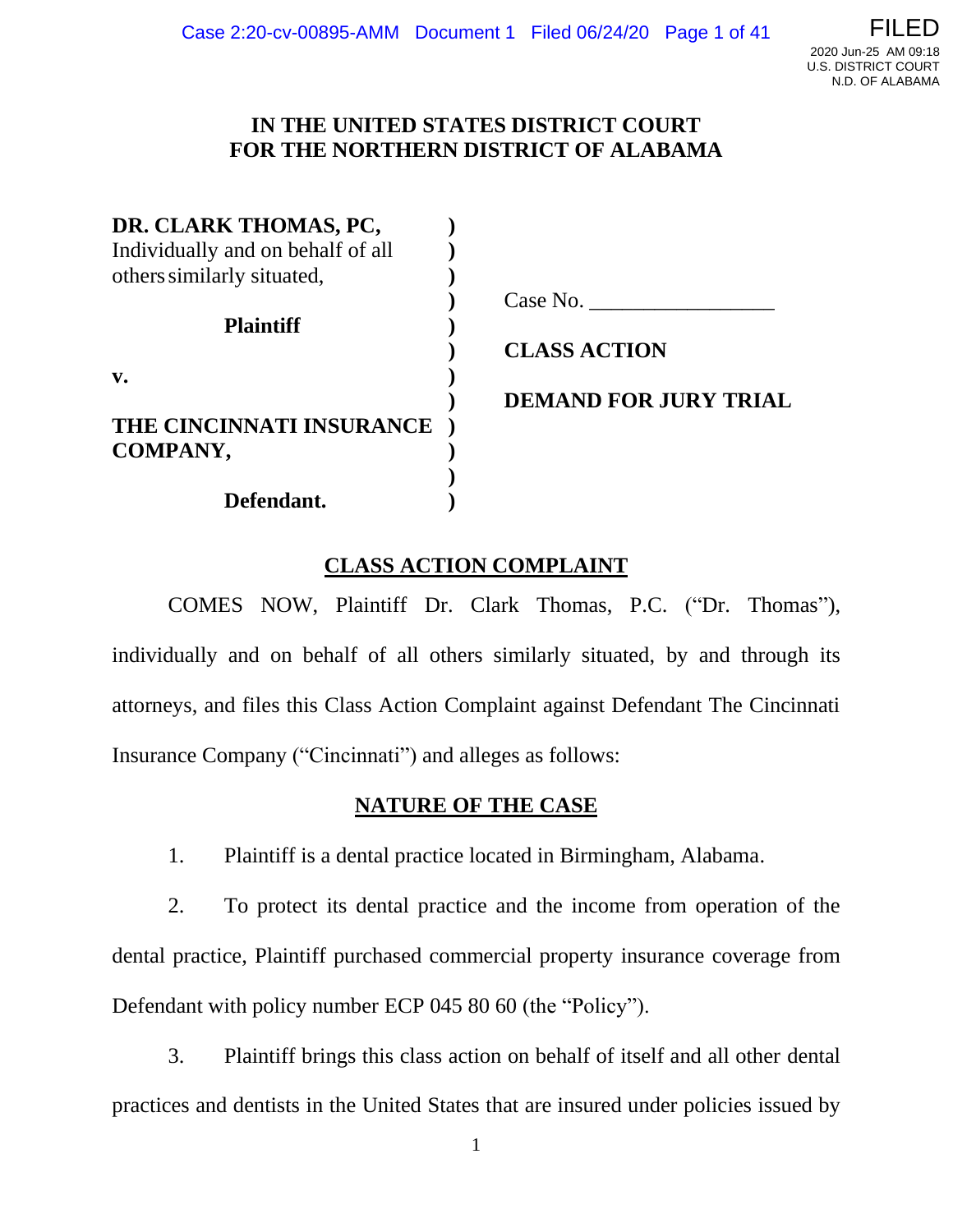## **IN THE UNITED STATES DISTRICT COURT FOR THE NORTHERN DISTRICT OF ALABAMA**

| DR. CLARK THOMAS, PC,             |                              |
|-----------------------------------|------------------------------|
| Individually and on behalf of all |                              |
| others similarly situated,        |                              |
|                                   | Case No.                     |
| <b>Plaintiff</b>                  |                              |
|                                   | <b>CLASS ACTION</b>          |
| $V_{\bullet}$                     |                              |
|                                   | <b>DEMAND FOR JURY TRIAL</b> |
| THE CINCINNATI INSURANCE          |                              |
| COMPANY,                          |                              |
|                                   |                              |
| Defendant.                        |                              |

## **CLASS ACTION COMPLAINT**

COMES NOW, Plaintiff Dr. Clark Thomas, P.C. ("Dr. Thomas"), individually and on behalf of all others similarly situated, by and through its attorneys, and files this Class Action Complaint against Defendant The Cincinnati Insurance Company ("Cincinnati") and alleges as follows:

### **NATURE OF THE CASE**

1. Plaintiff is a dental practice located in Birmingham, Alabama.

2. To protect its dental practice and the income from operation of the dental practice, Plaintiff purchased commercial property insurance coverage from Defendant with policy number ECP 045 80 60 (the "Policy").

3. Plaintiff brings this class action on behalf of itself and all other dental practices and dentists in the United States that are insured under policies issued by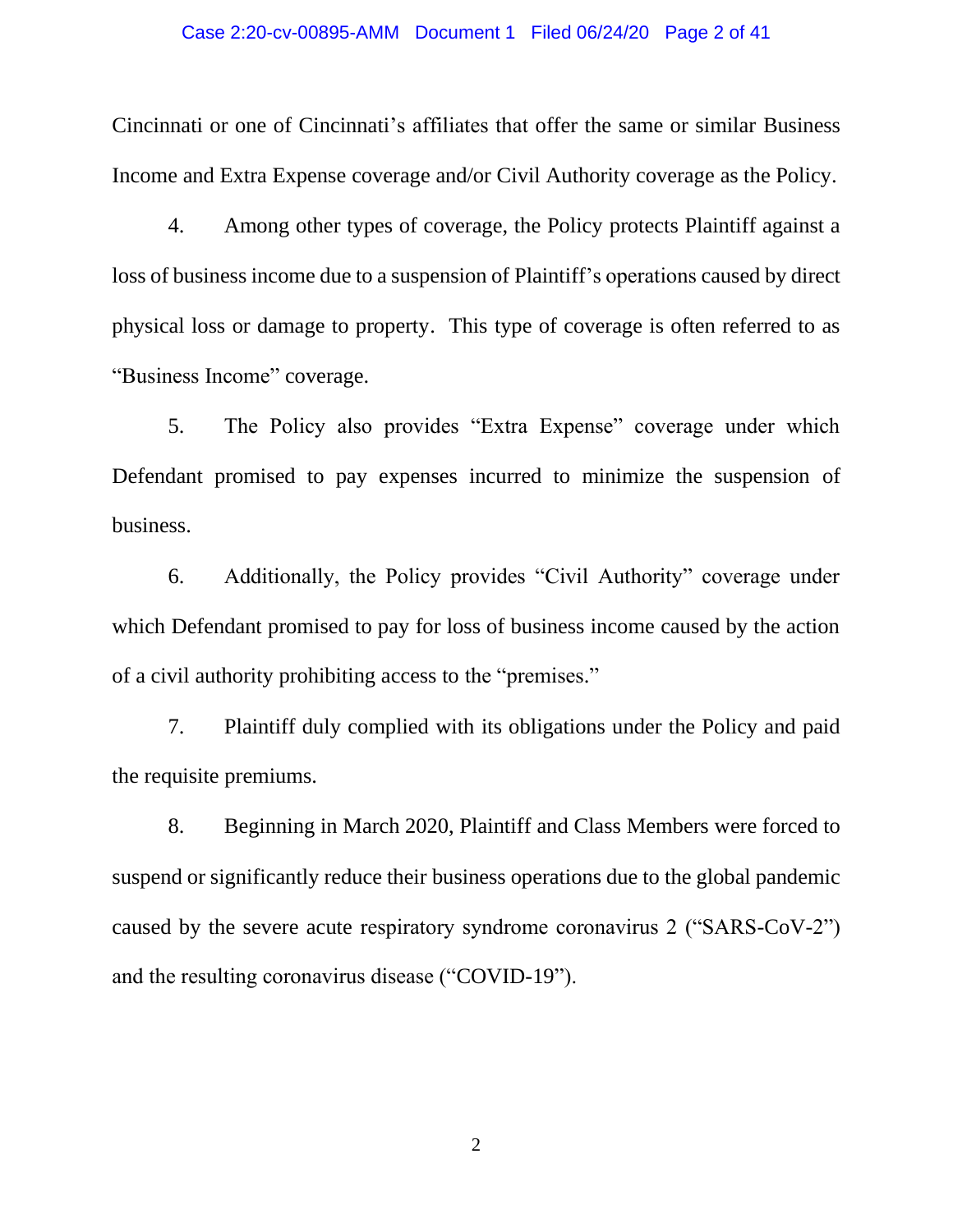#### Case 2:20-cv-00895-AMM Document 1 Filed 06/24/20 Page 2 of 41

Cincinnati or one of Cincinnati's affiliates that offer the same or similar Business Income and Extra Expense coverage and/or Civil Authority coverage as the Policy.

4. Among other types of coverage, the Policy protects Plaintiff against a loss of business income due to a suspension of Plaintiff's operations caused by direct physical loss or damage to property. This type of coverage is often referred to as "Business Income" coverage.

5. The Policy also provides "Extra Expense" coverage under which Defendant promised to pay expenses incurred to minimize the suspension of business.

6. Additionally, the Policy provides "Civil Authority" coverage under which Defendant promised to pay for loss of business income caused by the action of a civil authority prohibiting access to the "premises."

7. Plaintiff duly complied with its obligations under the Policy and paid the requisite premiums.

8. Beginning in March 2020, Plaintiff and Class Members were forced to suspend or significantly reduce their business operations due to the global pandemic caused by the severe acute respiratory syndrome coronavirus 2 ("SARS-CoV-2") and the resulting coronavirus disease ("COVID-19").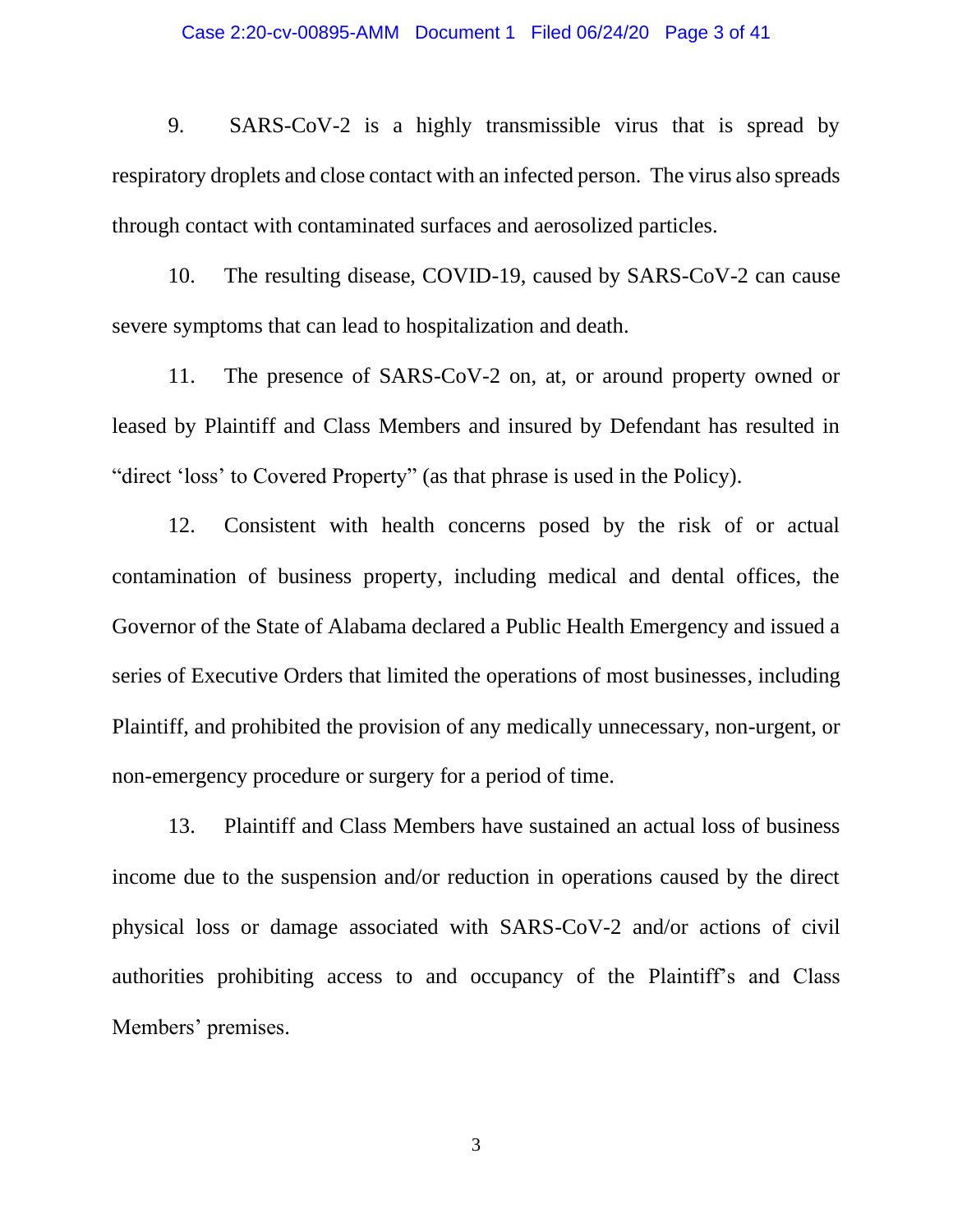#### Case 2:20-cv-00895-AMM Document 1 Filed 06/24/20 Page 3 of 41

9. SARS-CoV-2 is a highly transmissible virus that is spread by respiratory droplets and close contact with an infected person. The virus also spreads through contact with contaminated surfaces and aerosolized particles.

10. The resulting disease, COVID-19, caused by SARS-CoV-2 can cause severe symptoms that can lead to hospitalization and death.

11. The presence of SARS-CoV-2 on, at, or around property owned or leased by Plaintiff and Class Members and insured by Defendant has resulted in "direct 'loss' to Covered Property" (as that phrase is used in the Policy).

12. Consistent with health concerns posed by the risk of or actual contamination of business property, including medical and dental offices, the Governor of the State of Alabama declared a Public Health Emergency and issued a series of Executive Orders that limited the operations of most businesses, including Plaintiff, and prohibited the provision of any medically unnecessary, non-urgent, or non-emergency procedure or surgery for a period of time.

13. Plaintiff and Class Members have sustained an actual loss of business income due to the suspension and/or reduction in operations caused by the direct physical loss or damage associated with SARS-CoV-2 and/or actions of civil authorities prohibiting access to and occupancy of the Plaintiff's and Class Members' premises.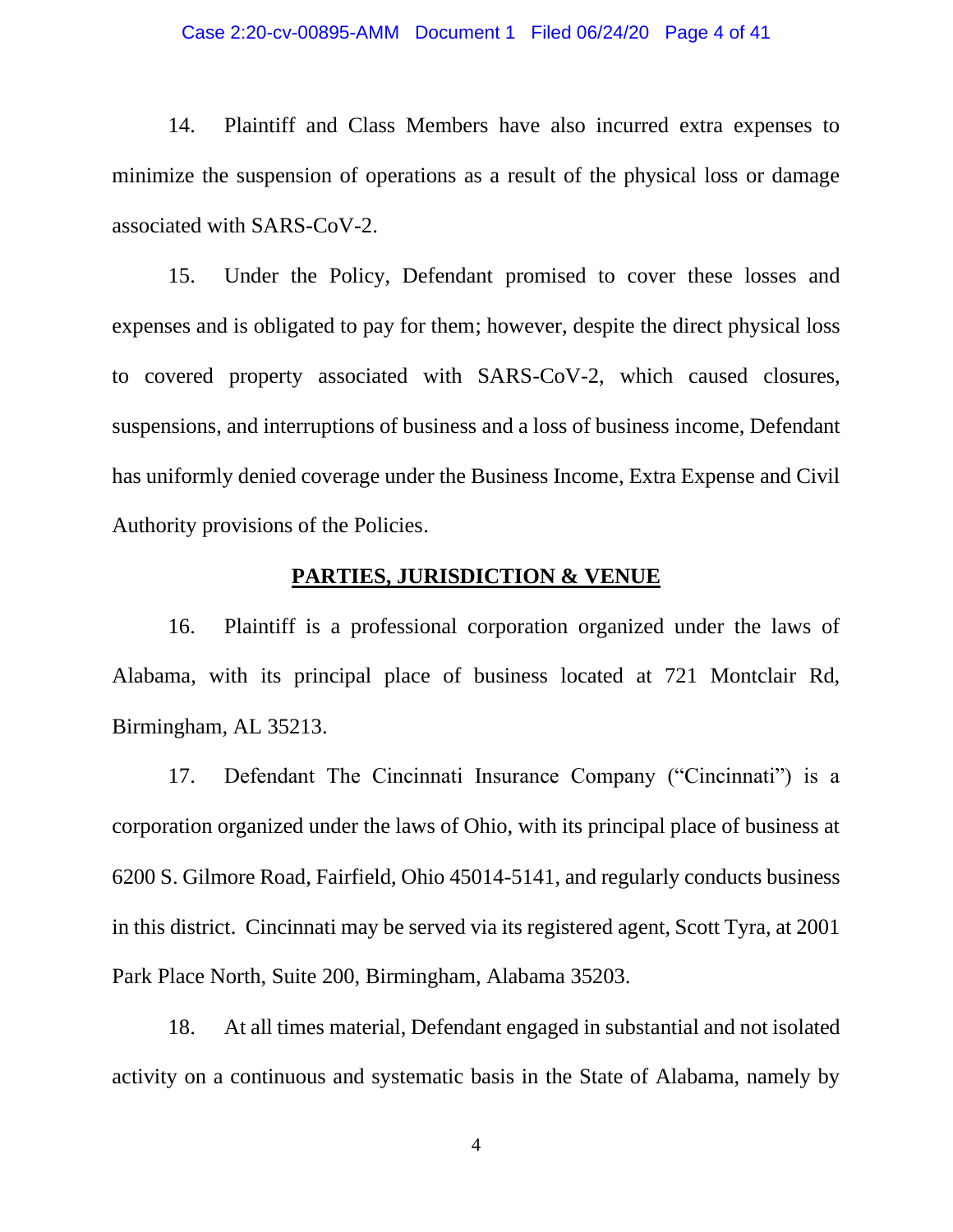#### Case 2:20-cv-00895-AMM Document 1 Filed 06/24/20 Page 4 of 41

14. Plaintiff and Class Members have also incurred extra expenses to minimize the suspension of operations as a result of the physical loss or damage associated with SARS-CoV-2.

15. Under the Policy, Defendant promised to cover these losses and expenses and is obligated to pay for them; however, despite the direct physical loss to covered property associated with SARS-CoV-2, which caused closures, suspensions, and interruptions of business and a loss of business income, Defendant has uniformly denied coverage under the Business Income, Extra Expense and Civil Authority provisions of the Policies.

### **PARTIES, JURISDICTION & VENUE**

16. Plaintiff is a professional corporation organized under the laws of Alabama, with its principal place of business located at 721 Montclair Rd, Birmingham, AL 35213.

17. Defendant The Cincinnati Insurance Company ("Cincinnati") is a corporation organized under the laws of Ohio, with its principal place of business at 6200 S. Gilmore Road, Fairfield, Ohio 45014-5141, and regularly conducts business in this district. Cincinnati may be served via its registered agent, Scott Tyra, at 2001 Park Place North, Suite 200, Birmingham, Alabama 35203.

18. At all times material, Defendant engaged in substantial and not isolated activity on a continuous and systematic basis in the State of Alabama, namely by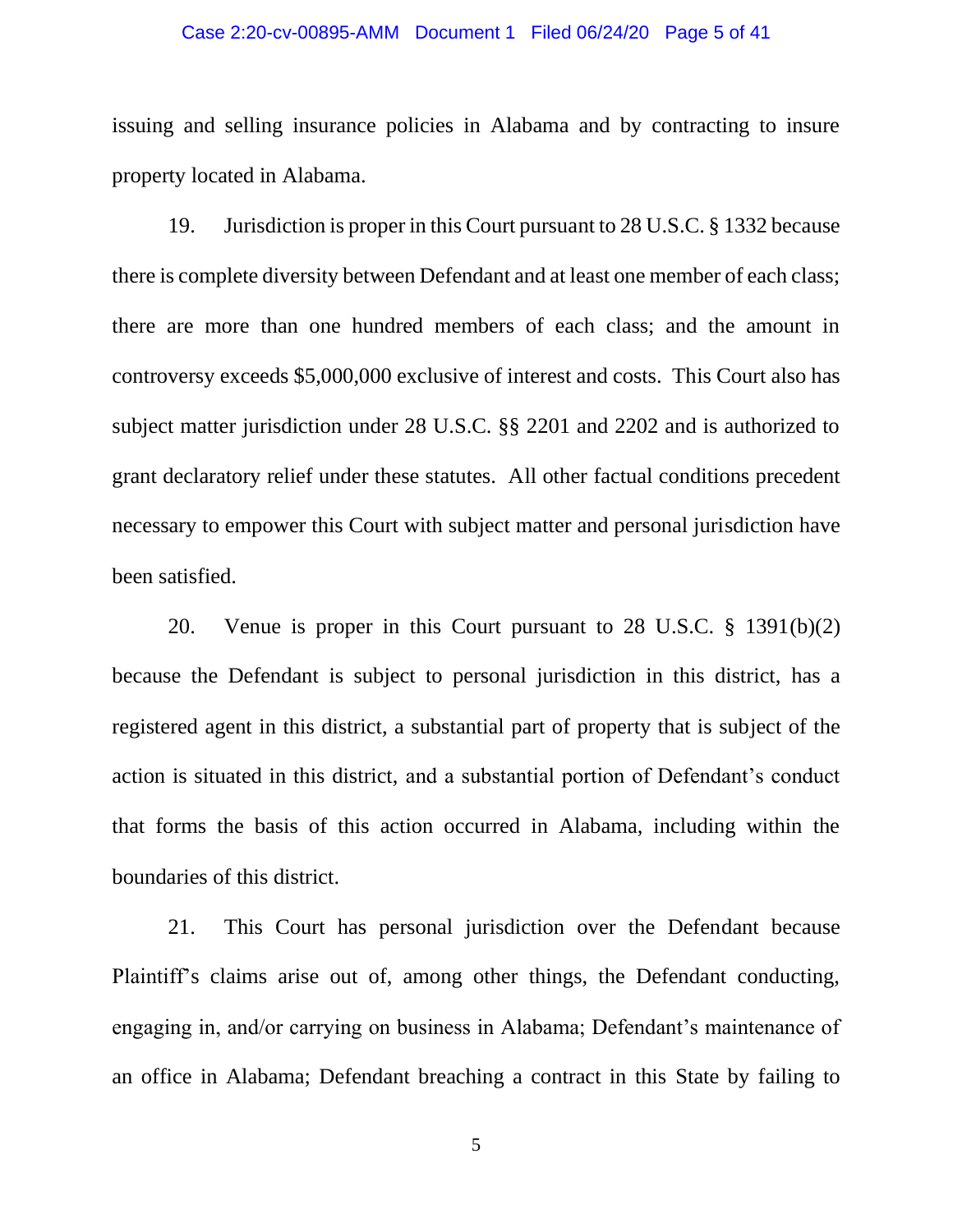#### Case 2:20-cv-00895-AMM Document 1 Filed 06/24/20 Page 5 of 41

issuing and selling insurance policies in Alabama and by contracting to insure property located in Alabama.

19. Jurisdiction is proper in this Court pursuant to 28 U.S.C. § 1332 because there is complete diversity between Defendant and at least one member of each class; there are more than one hundred members of each class; and the amount in controversy exceeds \$5,000,000 exclusive of interest and costs. This Court also has subject matter jurisdiction under 28 U.S.C. §§ 2201 and 2202 and is authorized to grant declaratory relief under these statutes. All other factual conditions precedent necessary to empower this Court with subject matter and personal jurisdiction have been satisfied.

20. Venue is proper in this Court pursuant to 28 U.S.C. § 1391(b)(2) because the Defendant is subject to personal jurisdiction in this district, has a registered agent in this district, a substantial part of property that is subject of the action is situated in this district, and a substantial portion of Defendant's conduct that forms the basis of this action occurred in Alabama, including within the boundaries of this district.

21. This Court has personal jurisdiction over the Defendant because Plaintiff's claims arise out of, among other things, the Defendant conducting, engaging in, and/or carrying on business in Alabama; Defendant's maintenance of an office in Alabama; Defendant breaching a contract in this State by failing to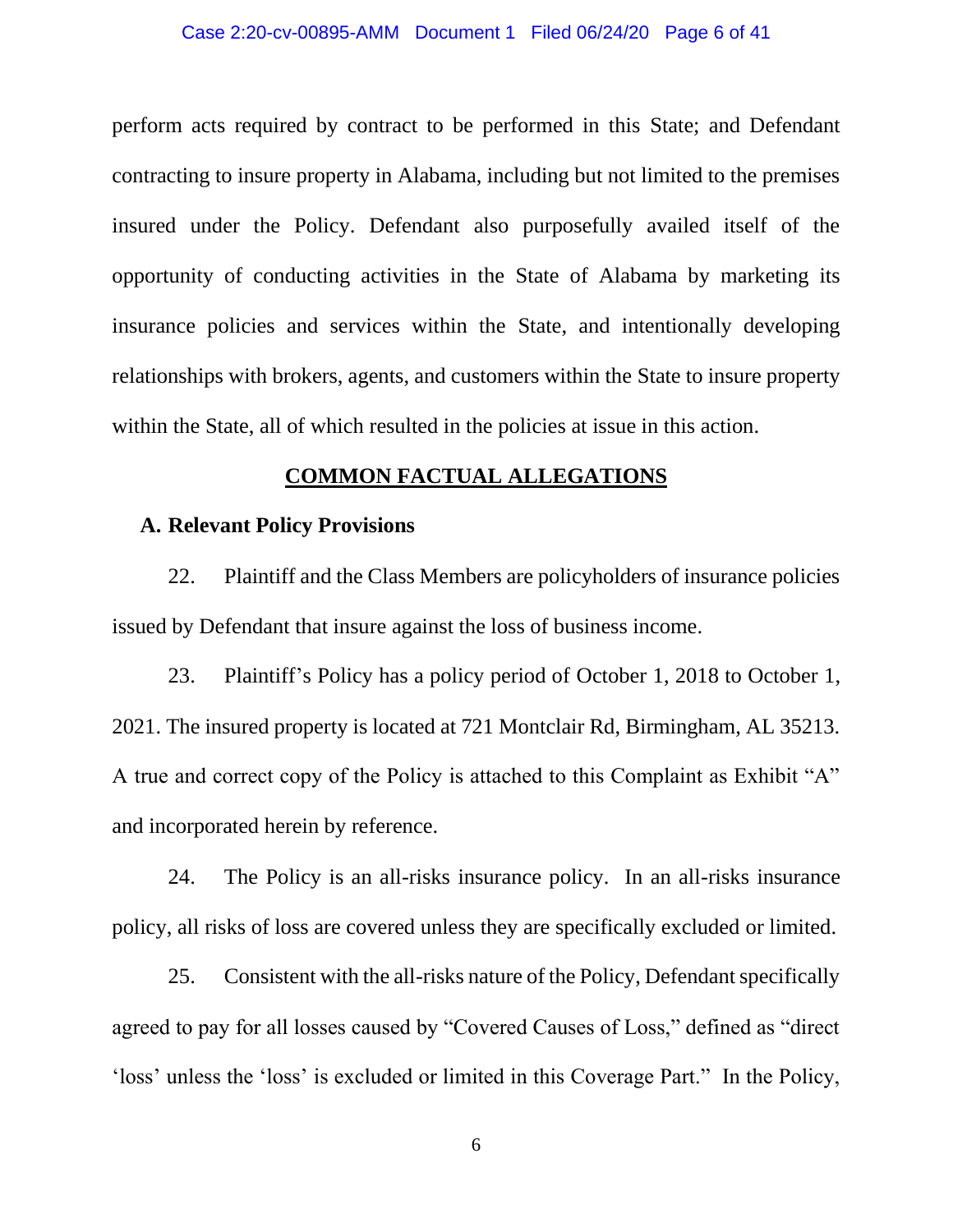#### Case 2:20-cv-00895-AMM Document 1 Filed 06/24/20 Page 6 of 41

perform acts required by contract to be performed in this State; and Defendant contracting to insure property in Alabama, including but not limited to the premises insured under the Policy. Defendant also purposefully availed itself of the opportunity of conducting activities in the State of Alabama by marketing its insurance policies and services within the State, and intentionally developing relationships with brokers, agents, and customers within the State to insure property within the State, all of which resulted in the policies at issue in this action.

### **COMMON FACTUAL ALLEGATIONS**

### **A. Relevant Policy Provisions**

22. Plaintiff and the Class Members are policyholders of insurance policies issued by Defendant that insure against the loss of business income.

23. Plaintiff's Policy has a policy period of October 1, 2018 to October 1, 2021. The insured property is located at 721 Montclair Rd, Birmingham, AL 35213. A true and correct copy of the Policy is attached to this Complaint as Exhibit "A" and incorporated herein by reference.

24. The Policy is an all-risks insurance policy. In an all-risks insurance policy, all risks of loss are covered unless they are specifically excluded or limited.

25. Consistent with the all-risks nature of the Policy, Defendant specifically agreed to pay for all losses caused by "Covered Causes of Loss," defined as "direct 'loss' unless the 'loss' is excluded or limited in this Coverage Part." In the Policy,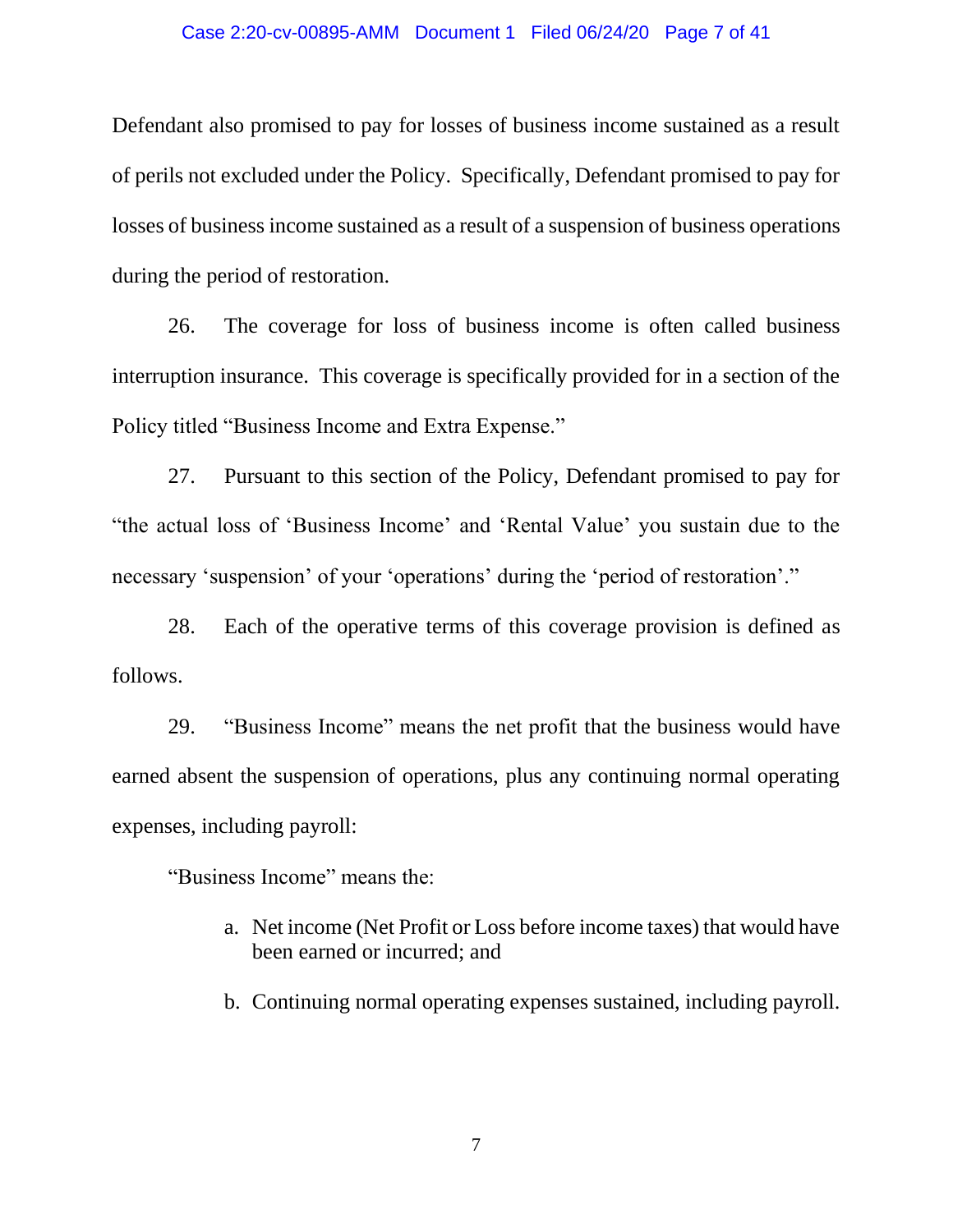#### Case 2:20-cv-00895-AMM Document 1 Filed 06/24/20 Page 7 of 41

Defendant also promised to pay for losses of business income sustained as a result of perils not excluded under the Policy. Specifically, Defendant promised to pay for losses of business income sustained as a result of a suspension of business operations during the period of restoration.

26. The coverage for loss of business income is often called business interruption insurance. This coverage is specifically provided for in a section of the Policy titled "Business Income and Extra Expense."

27. Pursuant to this section of the Policy, Defendant promised to pay for "the actual loss of 'Business Income' and 'Rental Value' you sustain due to the necessary 'suspension' of your 'operations' during the 'period of restoration'."

28. Each of the operative terms of this coverage provision is defined as follows.

29. "Business Income" means the net profit that the business would have earned absent the suspension of operations, plus any continuing normal operating expenses, including payroll:

"Business Income" means the:

- a. Net income (Net Profit or Loss before income taxes) that would have been earned or incurred; and
- b. Continuing normal operating expenses sustained, including payroll.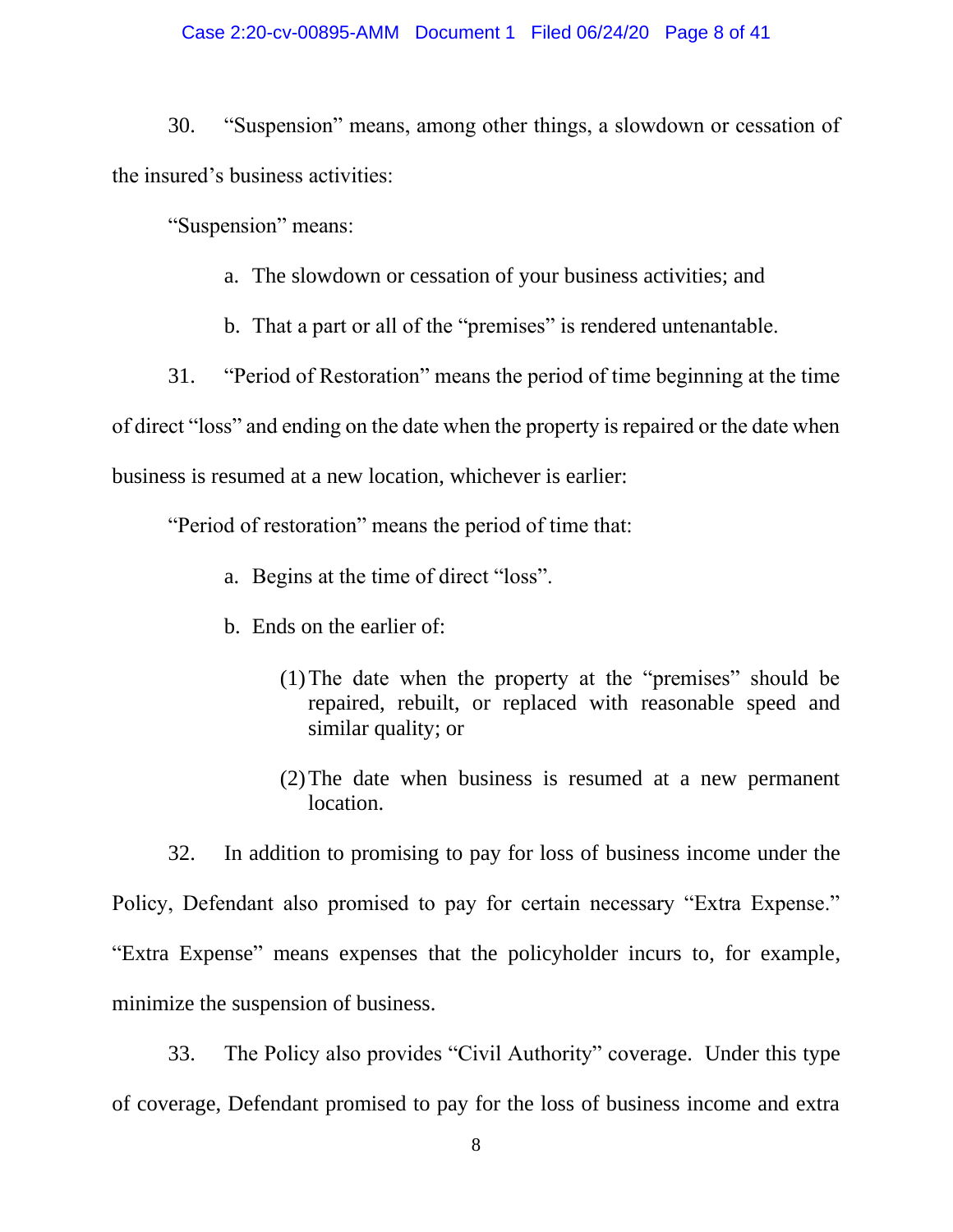### Case 2:20-cv-00895-AMM Document 1 Filed 06/24/20 Page 8 of 41

30. "Suspension" means, among other things, a slowdown or cessation of the insured's business activities:

"Suspension" means:

- a. The slowdown or cessation of your business activities; and
- b. That a part or all of the "premises" is rendered untenantable.
- 31. "Period of Restoration" means the period of time beginning at the time

of direct "loss" and ending on the date when the property is repaired or the date when business is resumed at a new location, whichever is earlier:

"Period of restoration" means the period of time that:

- a. Begins at the time of direct "loss".
- b. Ends on the earlier of:
	- (1)The date when the property at the "premises" should be repaired, rebuilt, or replaced with reasonable speed and similar quality; or
	- (2)The date when business is resumed at a new permanent location.

32. In addition to promising to pay for loss of business income under the Policy, Defendant also promised to pay for certain necessary "Extra Expense." "Extra Expense" means expenses that the policyholder incurs to, for example, minimize the suspension of business.

33. The Policy also provides "Civil Authority" coverage. Under this type of coverage, Defendant promised to pay for the loss of business income and extra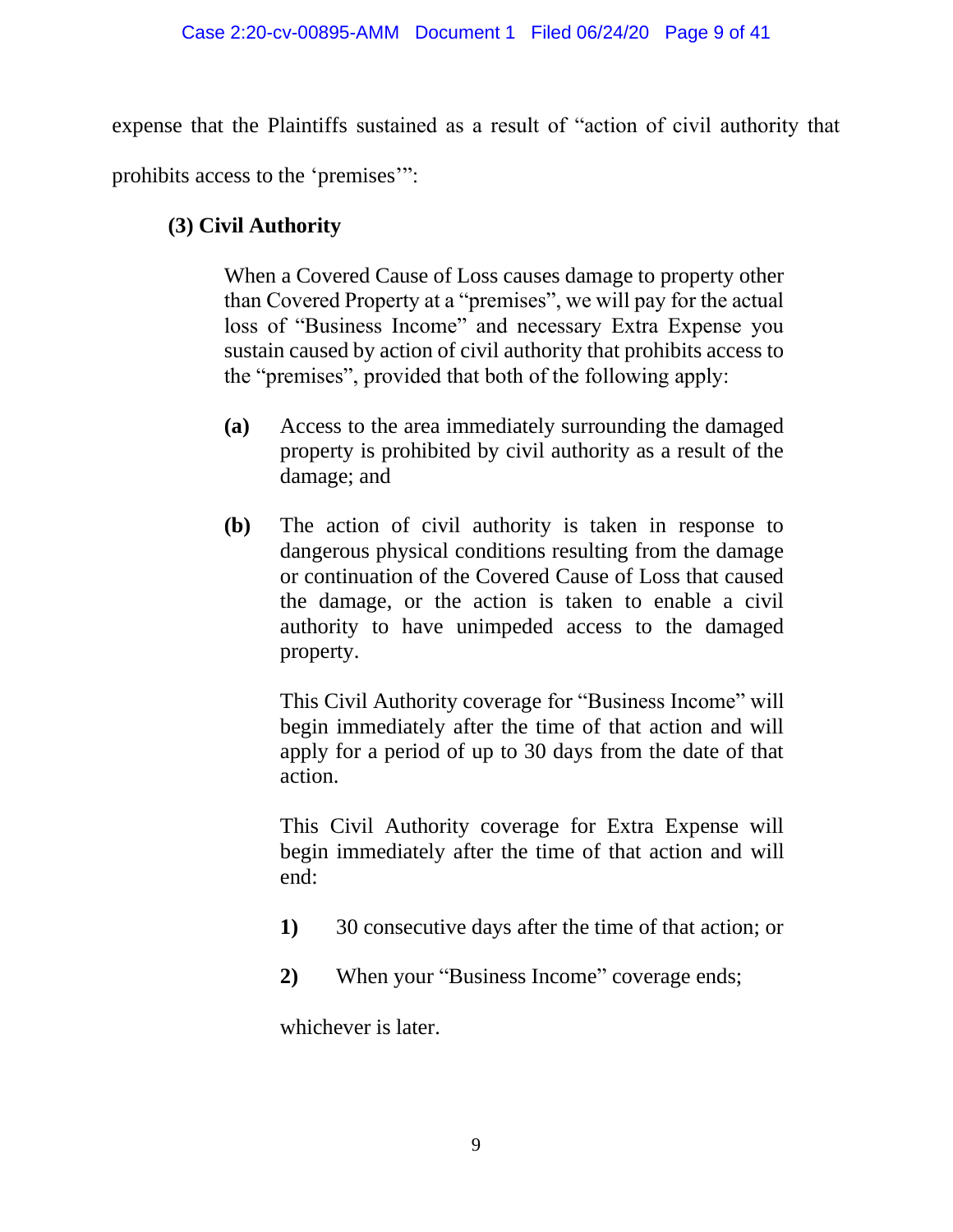expense that the Plaintiffs sustained as a result of "action of civil authority that

prohibits access to the 'premises'":

# **(3) Civil Authority**

When a Covered Cause of Loss causes damage to property other than Covered Property at a "premises", we will pay for the actual loss of "Business Income" and necessary Extra Expense you sustain caused by action of civil authority that prohibits access to the "premises", provided that both of the following apply:

- **(a)** Access to the area immediately surrounding the damaged property is prohibited by civil authority as a result of the damage; and
- **(b)** The action of civil authority is taken in response to dangerous physical conditions resulting from the damage or continuation of the Covered Cause of Loss that caused the damage, or the action is taken to enable a civil authority to have unimpeded access to the damaged property.

This Civil Authority coverage for "Business Income" will begin immediately after the time of that action and will apply for a period of up to 30 days from the date of that action.

This Civil Authority coverage for Extra Expense will begin immediately after the time of that action and will end:

- **1)** 30 consecutive days after the time of that action; or
- **2)** When your "Business Income" coverage ends;

whichever is later.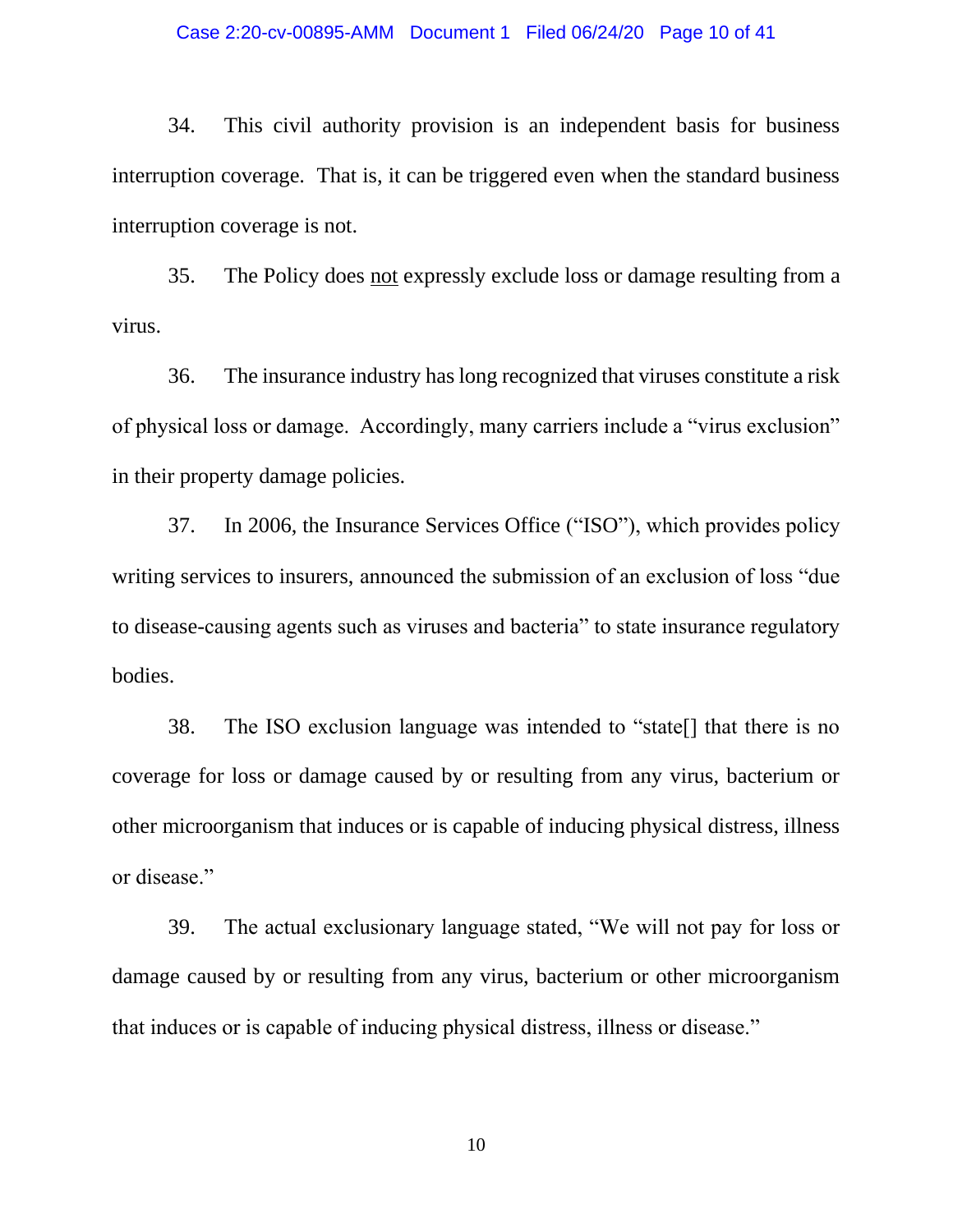#### Case 2:20-cv-00895-AMM Document 1 Filed 06/24/20 Page 10 of 41

34. This civil authority provision is an independent basis for business interruption coverage. That is, it can be triggered even when the standard business interruption coverage is not.

35. The Policy does not expressly exclude loss or damage resulting from a virus.

36. The insurance industry has long recognized that viruses constitute a risk of physical loss or damage. Accordingly, many carriers include a "virus exclusion" in their property damage policies.

37. In 2006, the Insurance Services Office ("ISO"), which provides policy writing services to insurers, announced the submission of an exclusion of loss "due to disease-causing agents such as viruses and bacteria" to state insurance regulatory bodies.

38. The ISO exclusion language was intended to "state[] that there is no coverage for loss or damage caused by or resulting from any virus, bacterium or other microorganism that induces or is capable of inducing physical distress, illness or disease."

39. The actual exclusionary language stated, "We will not pay for loss or damage caused by or resulting from any virus, bacterium or other microorganism that induces or is capable of inducing physical distress, illness or disease."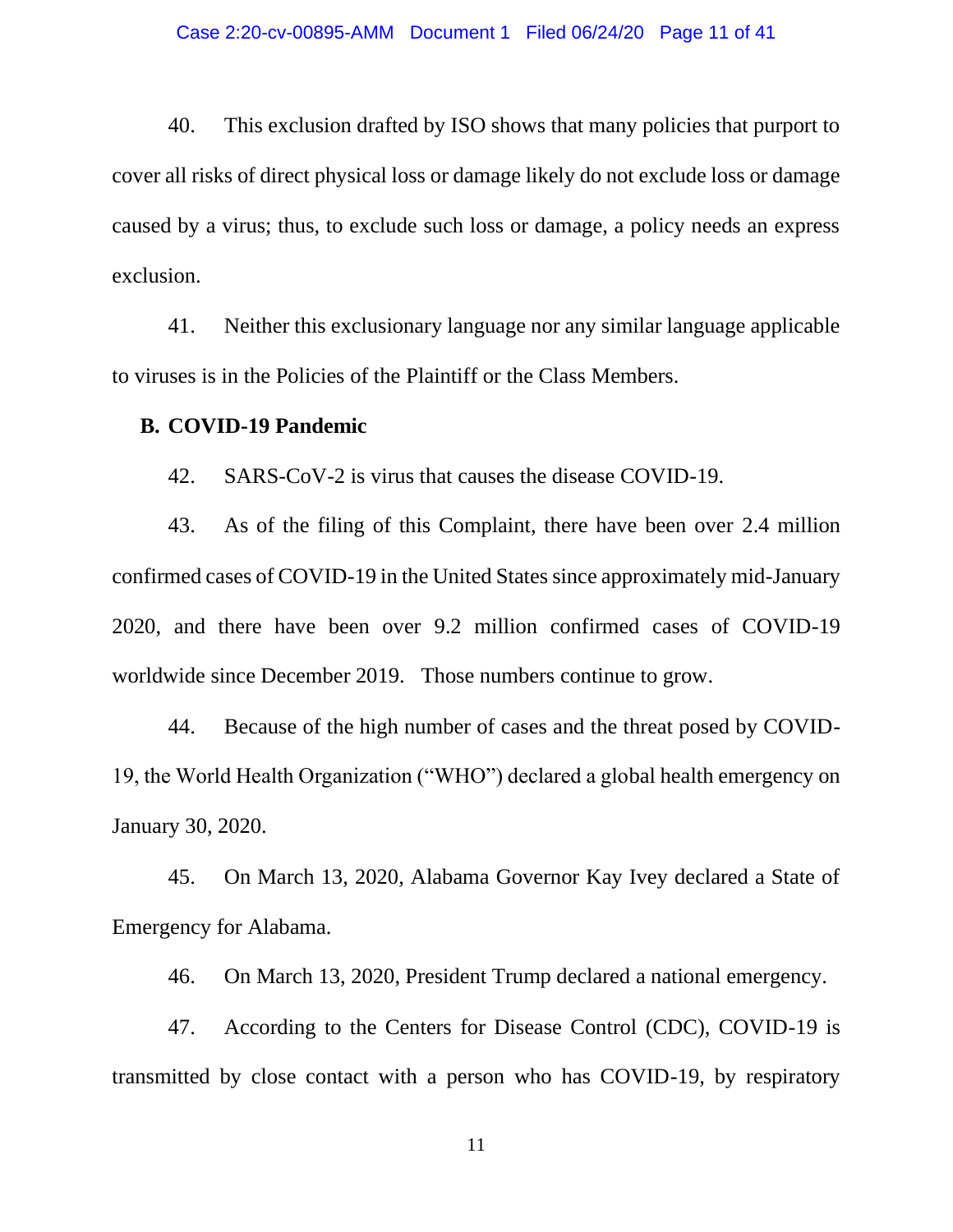40. This exclusion drafted by ISO shows that many policies that purport to cover all risks of direct physical loss or damage likely do not exclude loss or damage caused by a virus; thus, to exclude such loss or damage, a policy needs an express exclusion.

41. Neither this exclusionary language nor any similar language applicable to viruses is in the Policies of the Plaintiff or the Class Members.

### **B. COVID-19 Pandemic**

42. SARS-CoV-2 is virus that causes the disease COVID-19.

43. As of the filing of this Complaint, there have been over 2.4 million confirmed cases of COVID-19 in the United States since approximately mid-January 2020, and there have been over 9.2 million confirmed cases of COVID-19 worldwide since December 2019. Those numbers continue to grow.

44. Because of the high number of cases and the threat posed by COVID-19, the World Health Organization ("WHO") declared a global health emergency on January 30, 2020.

45. On March 13, 2020, Alabama Governor Kay Ivey declared a State of Emergency for Alabama.

46. On March 13, 2020, President Trump declared a national emergency.

47. According to the Centers for Disease Control (CDC), COVID-19 is transmitted by close contact with a person who has COVID-19, by respiratory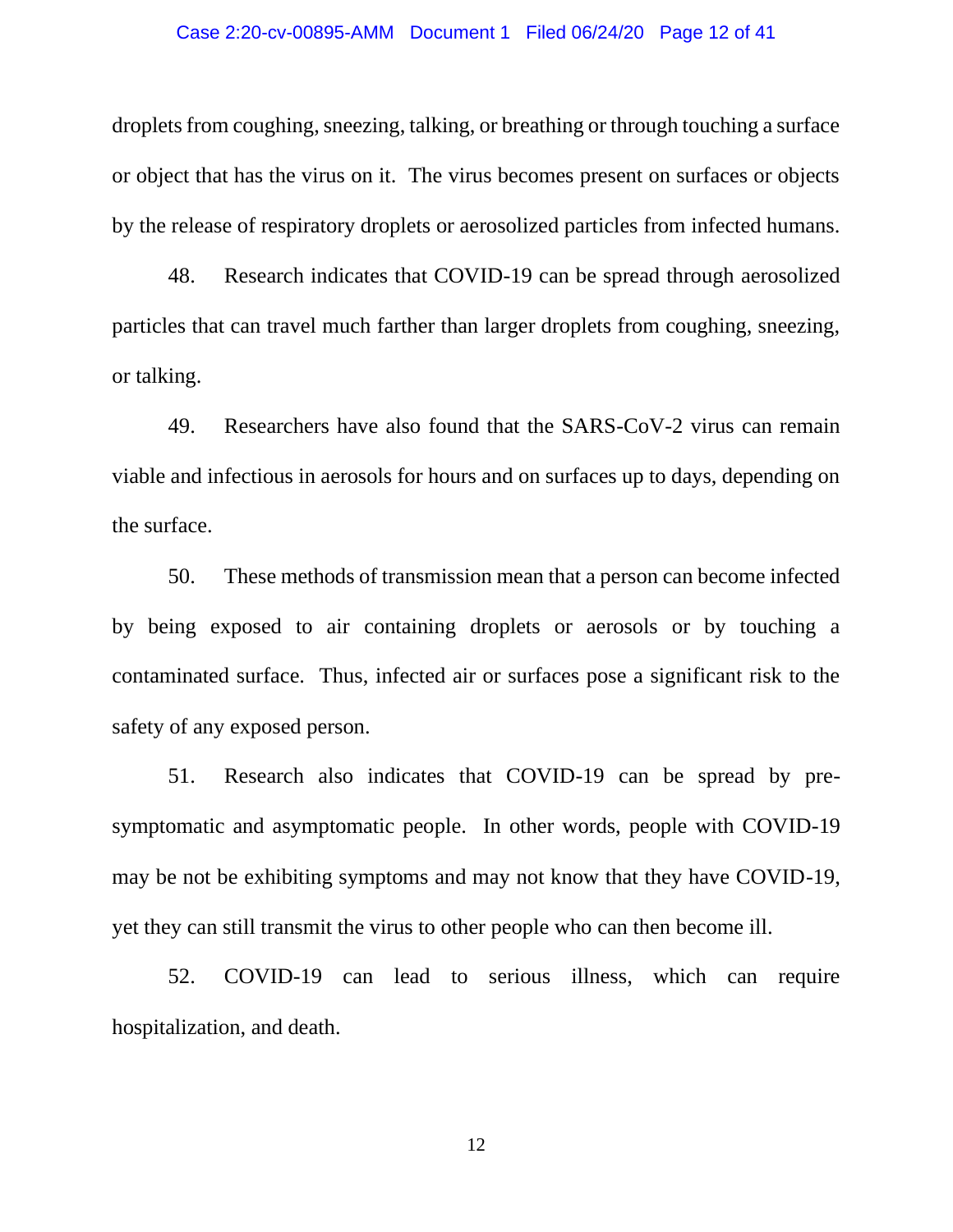#### Case 2:20-cv-00895-AMM Document 1 Filed 06/24/20 Page 12 of 41

droplets from coughing, sneezing, talking, or breathing or through touching a surface or object that has the virus on it. The virus becomes present on surfaces or objects by the release of respiratory droplets or aerosolized particles from infected humans.

48. Research indicates that COVID-19 can be spread through aerosolized particles that can travel much farther than larger droplets from coughing, sneezing, or talking.

49. Researchers have also found that the SARS-CoV-2 virus can remain viable and infectious in aerosols for hours and on surfaces up to days, depending on the surface.

50. These methods of transmission mean that a person can become infected by being exposed to air containing droplets or aerosols or by touching a contaminated surface. Thus, infected air or surfaces pose a significant risk to the safety of any exposed person.

51. Research also indicates that COVID-19 can be spread by presymptomatic and asymptomatic people. In other words, people with COVID-19 may be not be exhibiting symptoms and may not know that they have COVID-19, yet they can still transmit the virus to other people who can then become ill.

52. COVID-19 can lead to serious illness, which can require hospitalization, and death.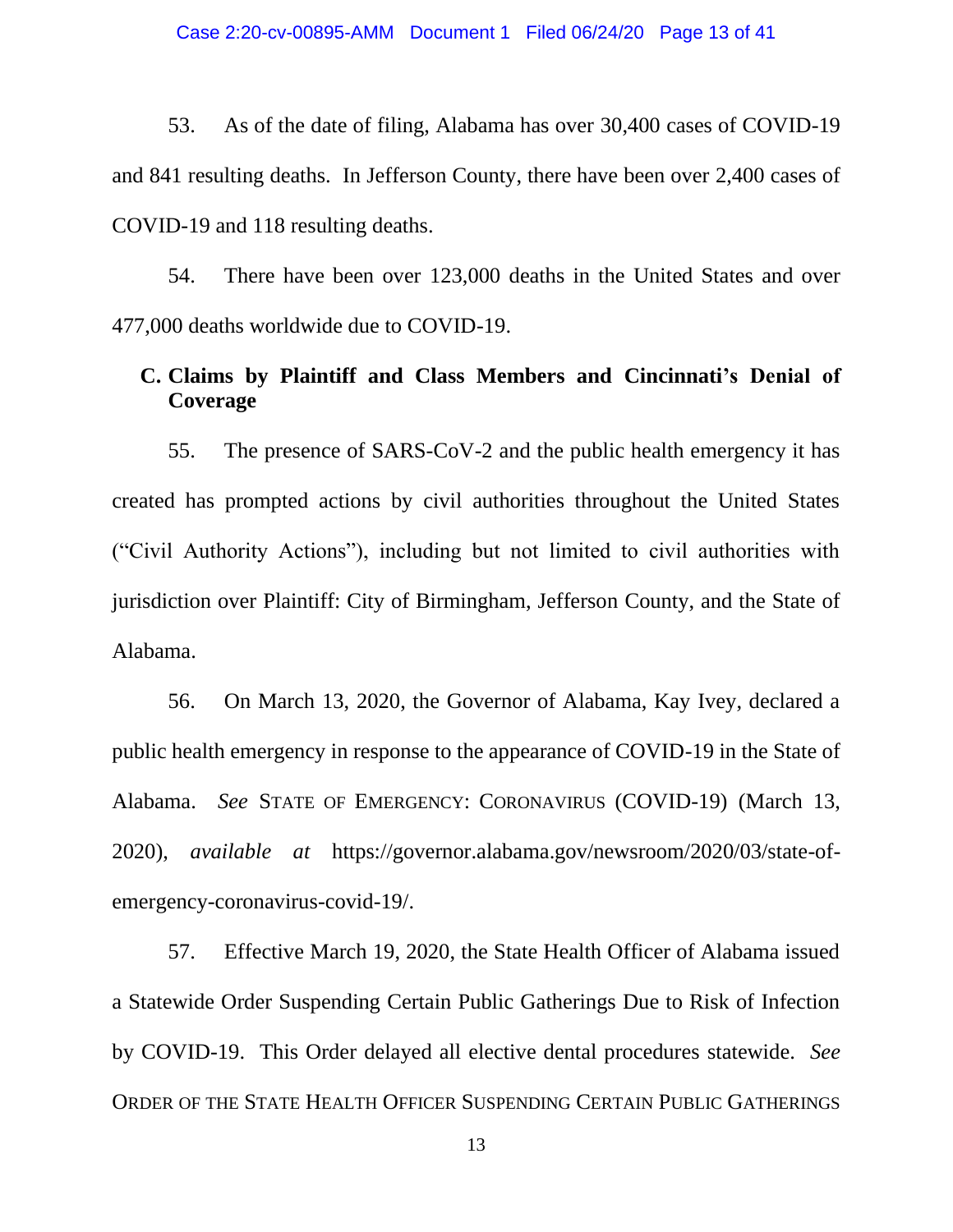53. As of the date of filing, Alabama has over 30,400 cases of COVID-19 and 841 resulting deaths. In Jefferson County, there have been over 2,400 cases of COVID-19 and 118 resulting deaths.

54. There have been over 123,000 deaths in the United States and over 477,000 deaths worldwide due to COVID-19.

## **C. Claims by Plaintiff and Class Members and Cincinnati's Denial of Coverage**

55. The presence of SARS-CoV-2 and the public health emergency it has created has prompted actions by civil authorities throughout the United States ("Civil Authority Actions"), including but not limited to civil authorities with jurisdiction over Plaintiff: City of Birmingham, Jefferson County, and the State of Alabama.

56. On March 13, 2020, the Governor of Alabama, Kay Ivey, declared a public health emergency in response to the appearance of COVID-19 in the State of Alabama. *See* STATE OF EMERGENCY: CORONAVIRUS (COVID-19) (March 13, 2020), *available at* https://governor.alabama.gov/newsroom/2020/03/state-ofemergency-coronavirus-covid-19/.

57. Effective March 19, 2020, the State Health Officer of Alabama issued a Statewide Order Suspending Certain Public Gatherings Due to Risk of Infection by COVID-19. This Order delayed all elective dental procedures statewide. *See*  ORDER OF THE STATE HEALTH OFFICER SUSPENDING CERTAIN PUBLIC GATHERINGS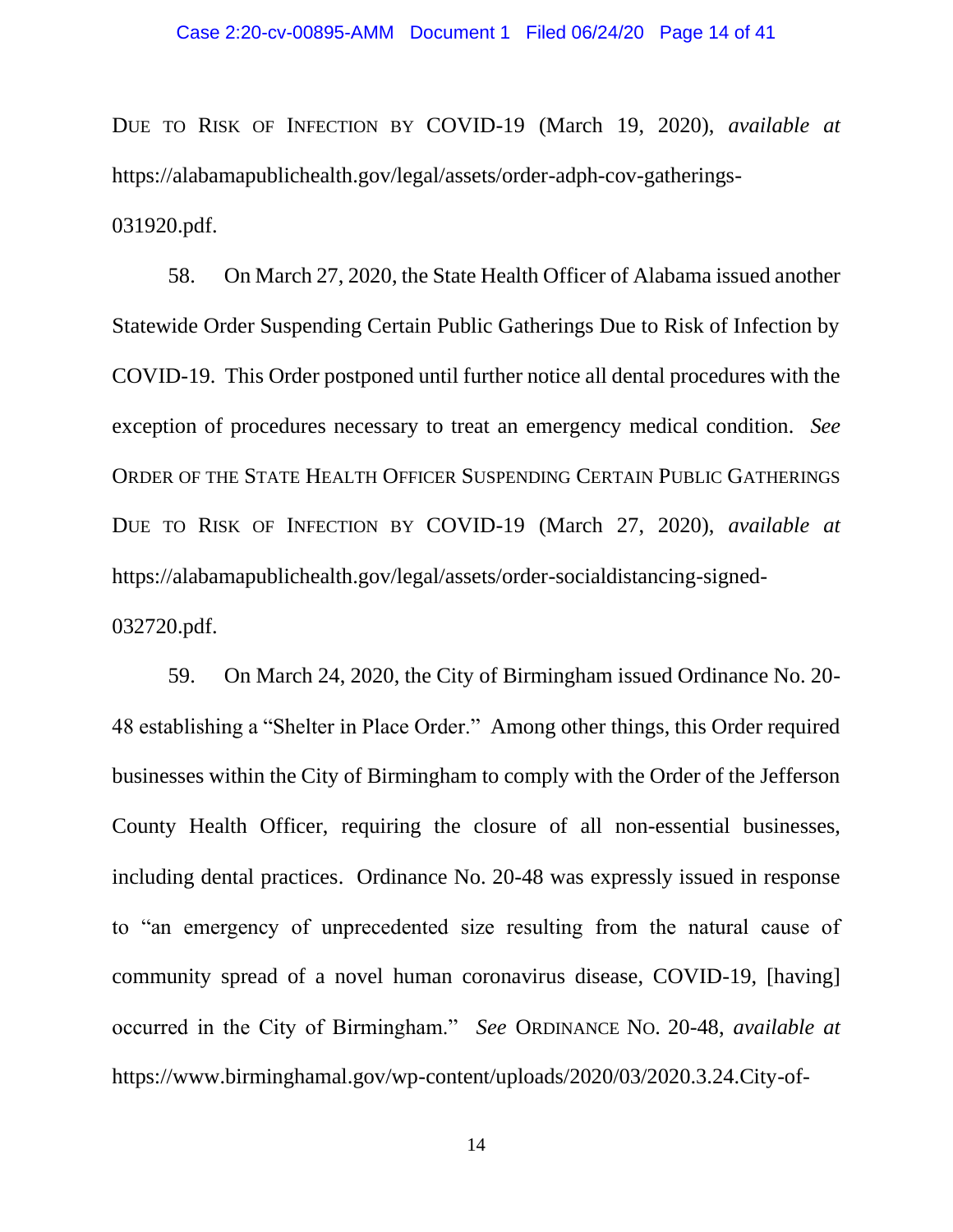DUE TO RISK OF INFECTION BY COVID-19 (March 19, 2020), *available at* https://alabamapublichealth.gov/legal/assets/order-adph-cov-gatherings-031920.pdf.

58. On March 27, 2020, the State Health Officer of Alabama issued another Statewide Order Suspending Certain Public Gatherings Due to Risk of Infection by COVID-19. This Order postponed until further notice all dental procedures with the exception of procedures necessary to treat an emergency medical condition. *See*  ORDER OF THE STATE HEALTH OFFICER SUSPENDING CERTAIN PUBLIC GATHERINGS DUE TO RISK OF INFECTION BY COVID-19 (March 27, 2020), *available at*  https://alabamapublichealth.gov/legal/assets/order-socialdistancing-signed-032720.pdf.

59. On March 24, 2020, the City of Birmingham issued Ordinance No. 20- 48 establishing a "Shelter in Place Order." Among other things, this Order required businesses within the City of Birmingham to comply with the Order of the Jefferson County Health Officer, requiring the closure of all non-essential businesses, including dental practices. Ordinance No. 20-48 was expressly issued in response to "an emergency of unprecedented size resulting from the natural cause of community spread of a novel human coronavirus disease, COVID-19, [having] occurred in the City of Birmingham." *See* ORDINANCE NO. 20-48, *available at*  https://www.birminghamal.gov/wp-content/uploads/2020/03/2020.3.24.City-of-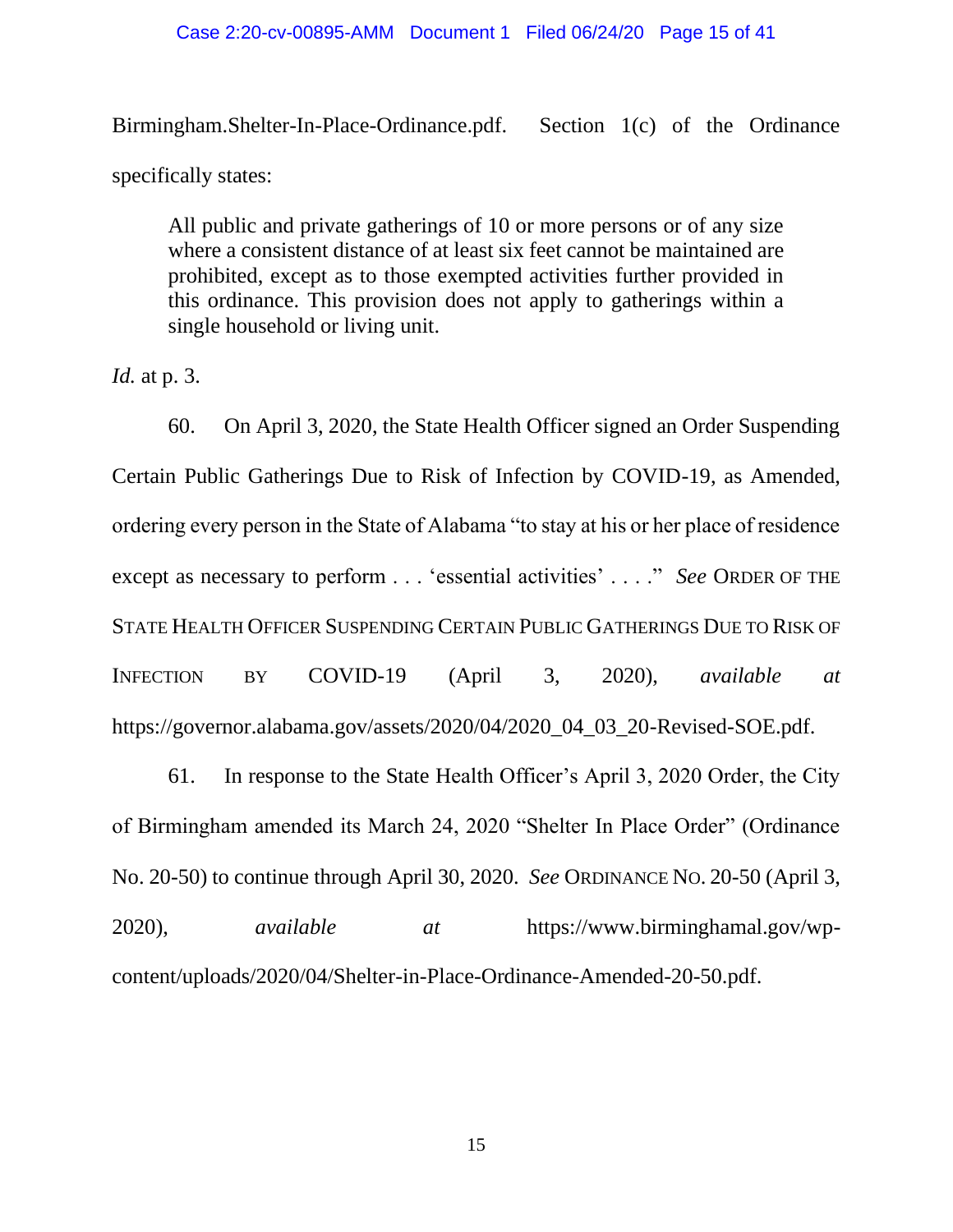### Case 2:20-cv-00895-AMM Document 1 Filed 06/24/20 Page 15 of 41

Birmingham.Shelter-In-Place-Ordinance.pdf. Section 1(c) of the Ordinance specifically states:

All public and private gatherings of 10 or more persons or of any size where a consistent distance of at least six feet cannot be maintained are prohibited, except as to those exempted activities further provided in this ordinance. This provision does not apply to gatherings within a single household or living unit.

*Id.* at p. 3.

60. On April 3, 2020, the State Health Officer signed an Order Suspending Certain Public Gatherings Due to Risk of Infection by COVID-19, as Amended, ordering every person in the State of Alabama "to stay at his or her place of residence except as necessary to perform . . . 'essential activities' . . . ." *See* ORDER OF THE STATE HEALTH OFFICER SUSPENDING CERTAIN PUBLIC GATHERINGS DUE TO RISK OF INFECTION BY COVID-19 (April 3, 2020), *available at*  https://governor.alabama.gov/assets/2020/04/2020\_04\_03\_20-Revised-SOE.pdf.

61. In response to the State Health Officer's April 3, 2020 Order, the City of Birmingham amended its March 24, 2020 "Shelter In Place Order" (Ordinance No. 20-50) to continue through April 30, 2020. *See* ORDINANCE NO. 20-50 (April 3, 2020), *available at* https://www.birminghamal.gov/wpcontent/uploads/2020/04/Shelter-in-Place-Ordinance-Amended-20-50.pdf.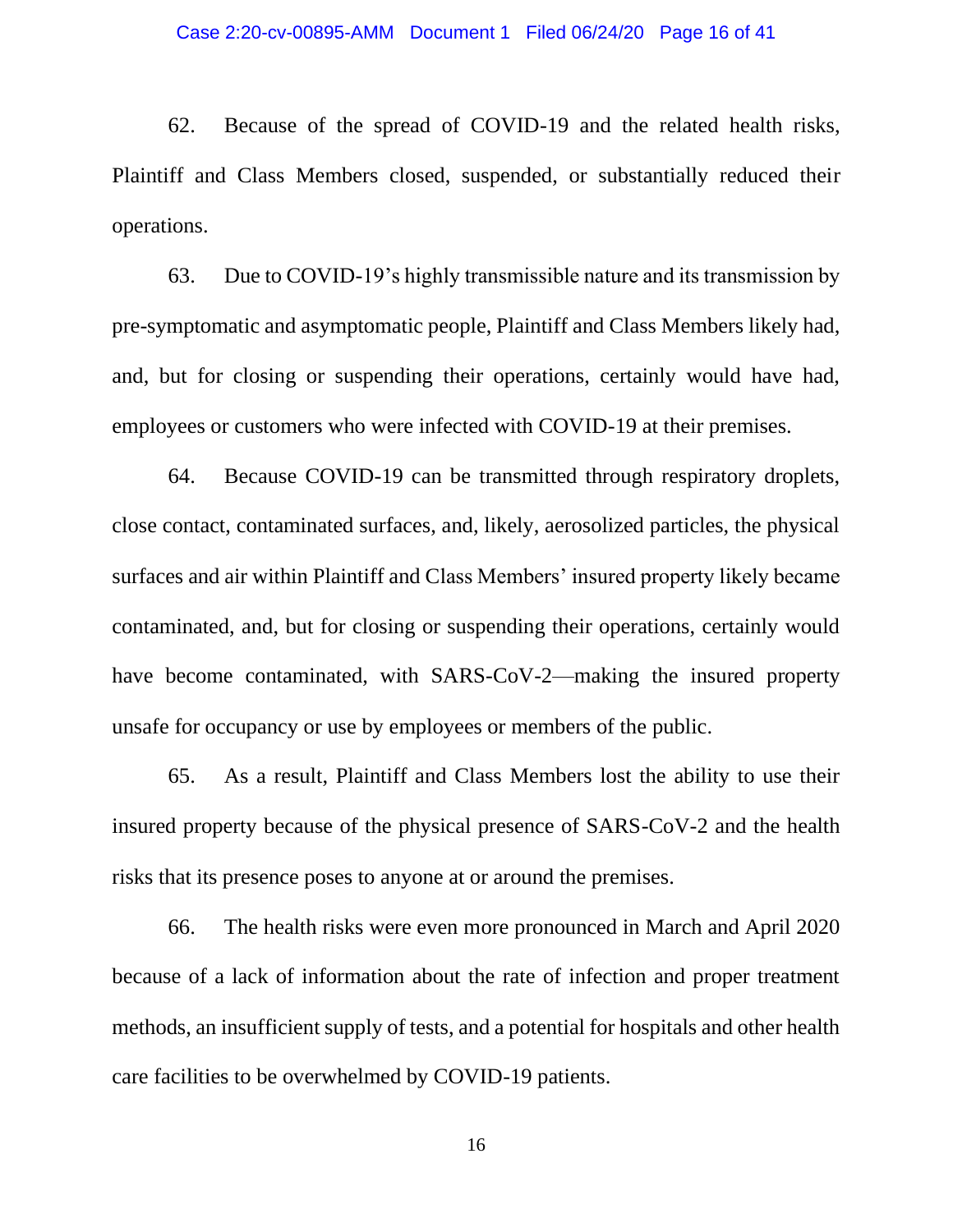62. Because of the spread of COVID-19 and the related health risks, Plaintiff and Class Members closed, suspended, or substantially reduced their operations.

63. Due to COVID-19's highly transmissible nature and its transmission by pre-symptomatic and asymptomatic people, Plaintiff and Class Members likely had, and, but for closing or suspending their operations, certainly would have had, employees or customers who were infected with COVID-19 at their premises.

64. Because COVID-19 can be transmitted through respiratory droplets, close contact, contaminated surfaces, and, likely, aerosolized particles, the physical surfaces and air within Plaintiff and Class Members' insured property likely became contaminated, and, but for closing or suspending their operations, certainly would have become contaminated, with SARS-CoV-2—making the insured property unsafe for occupancy or use by employees or members of the public.

65. As a result, Plaintiff and Class Members lost the ability to use their insured property because of the physical presence of SARS-CoV-2 and the health risks that its presence poses to anyone at or around the premises.

66. The health risks were even more pronounced in March and April 2020 because of a lack of information about the rate of infection and proper treatment methods, an insufficient supply of tests, and a potential for hospitals and other health care facilities to be overwhelmed by COVID-19 patients.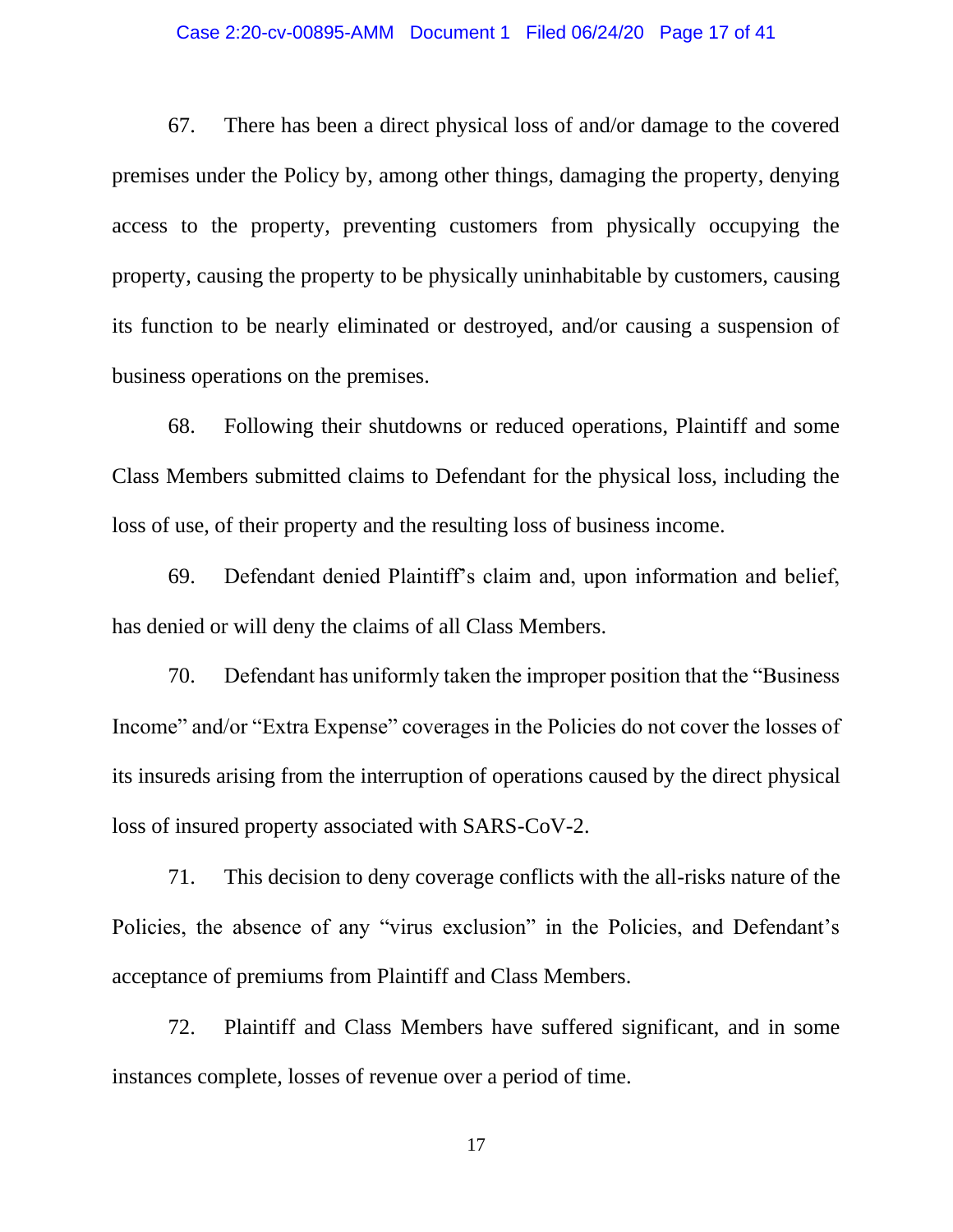#### Case 2:20-cv-00895-AMM Document 1 Filed 06/24/20 Page 17 of 41

67. There has been a direct physical loss of and/or damage to the covered premises under the Policy by, among other things, damaging the property, denying access to the property, preventing customers from physically occupying the property, causing the property to be physically uninhabitable by customers, causing its function to be nearly eliminated or destroyed, and/or causing a suspension of business operations on the premises.

68. Following their shutdowns or reduced operations, Plaintiff and some Class Members submitted claims to Defendant for the physical loss, including the loss of use, of their property and the resulting loss of business income.

69. Defendant denied Plaintiff's claim and, upon information and belief, has denied or will deny the claims of all Class Members.

70. Defendant has uniformly taken the improper position that the "Business Income" and/or "Extra Expense" coverages in the Policies do not cover the losses of its insureds arising from the interruption of operations caused by the direct physical loss of insured property associated with SARS-CoV-2.

71. This decision to deny coverage conflicts with the all-risks nature of the Policies, the absence of any "virus exclusion" in the Policies, and Defendant's acceptance of premiums from Plaintiff and Class Members.

72. Plaintiff and Class Members have suffered significant, and in some instances complete, losses of revenue over a period of time.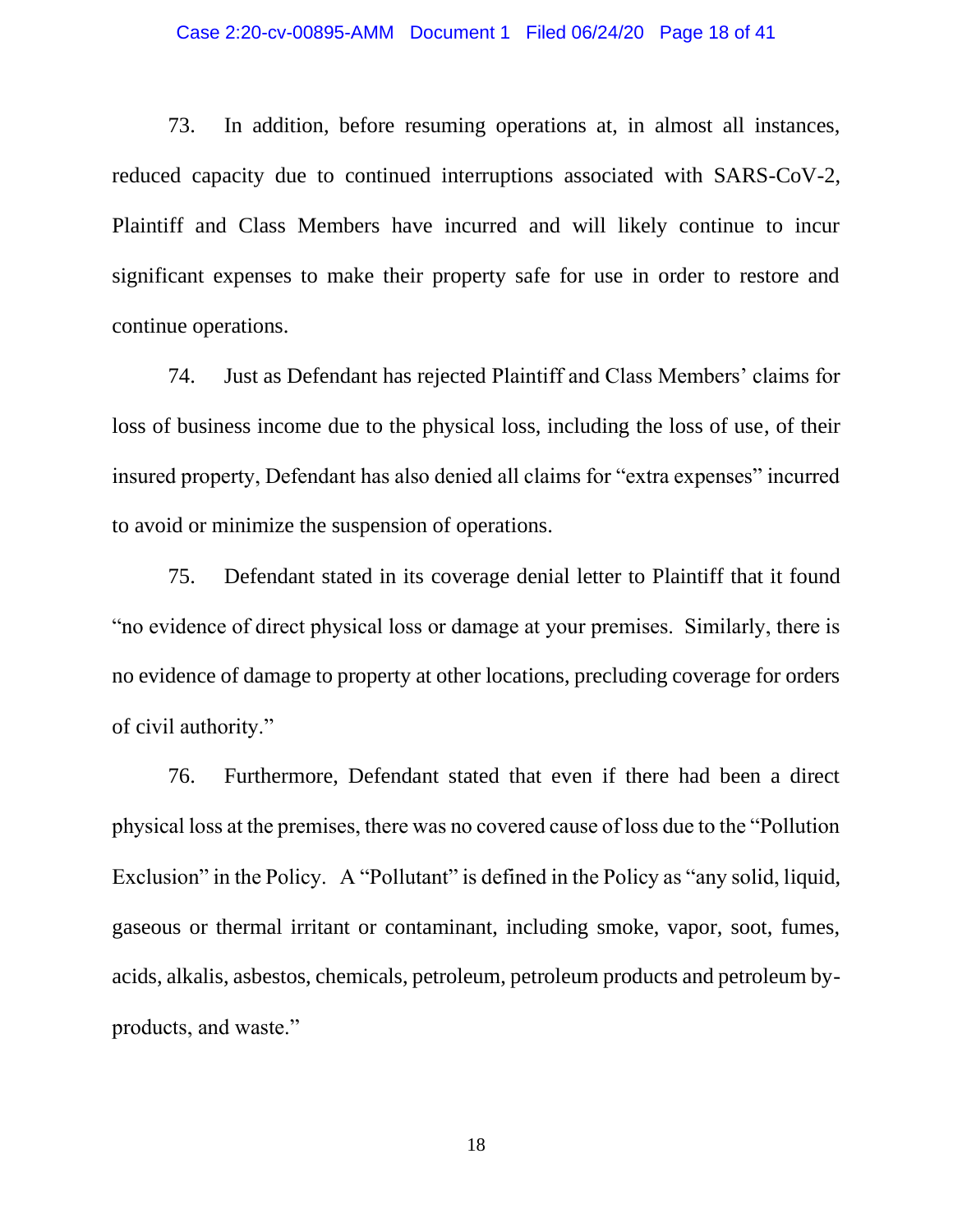#### Case 2:20-cv-00895-AMM Document 1 Filed 06/24/20 Page 18 of 41

73. In addition, before resuming operations at, in almost all instances, reduced capacity due to continued interruptions associated with SARS-CoV-2, Plaintiff and Class Members have incurred and will likely continue to incur significant expenses to make their property safe for use in order to restore and continue operations.

74. Just as Defendant has rejected Plaintiff and Class Members' claims for loss of business income due to the physical loss, including the loss of use, of their insured property, Defendant has also denied all claims for "extra expenses" incurred to avoid or minimize the suspension of operations.

75. Defendant stated in its coverage denial letter to Plaintiff that it found "no evidence of direct physical loss or damage at your premises. Similarly, there is no evidence of damage to property at other locations, precluding coverage for orders of civil authority."

76. Furthermore, Defendant stated that even if there had been a direct physical loss at the premises, there was no covered cause of loss due to the "Pollution Exclusion" in the Policy. A "Pollutant" is defined in the Policy as "any solid, liquid, gaseous or thermal irritant or contaminant, including smoke, vapor, soot, fumes, acids, alkalis, asbestos, chemicals, petroleum, petroleum products and petroleum byproducts, and waste."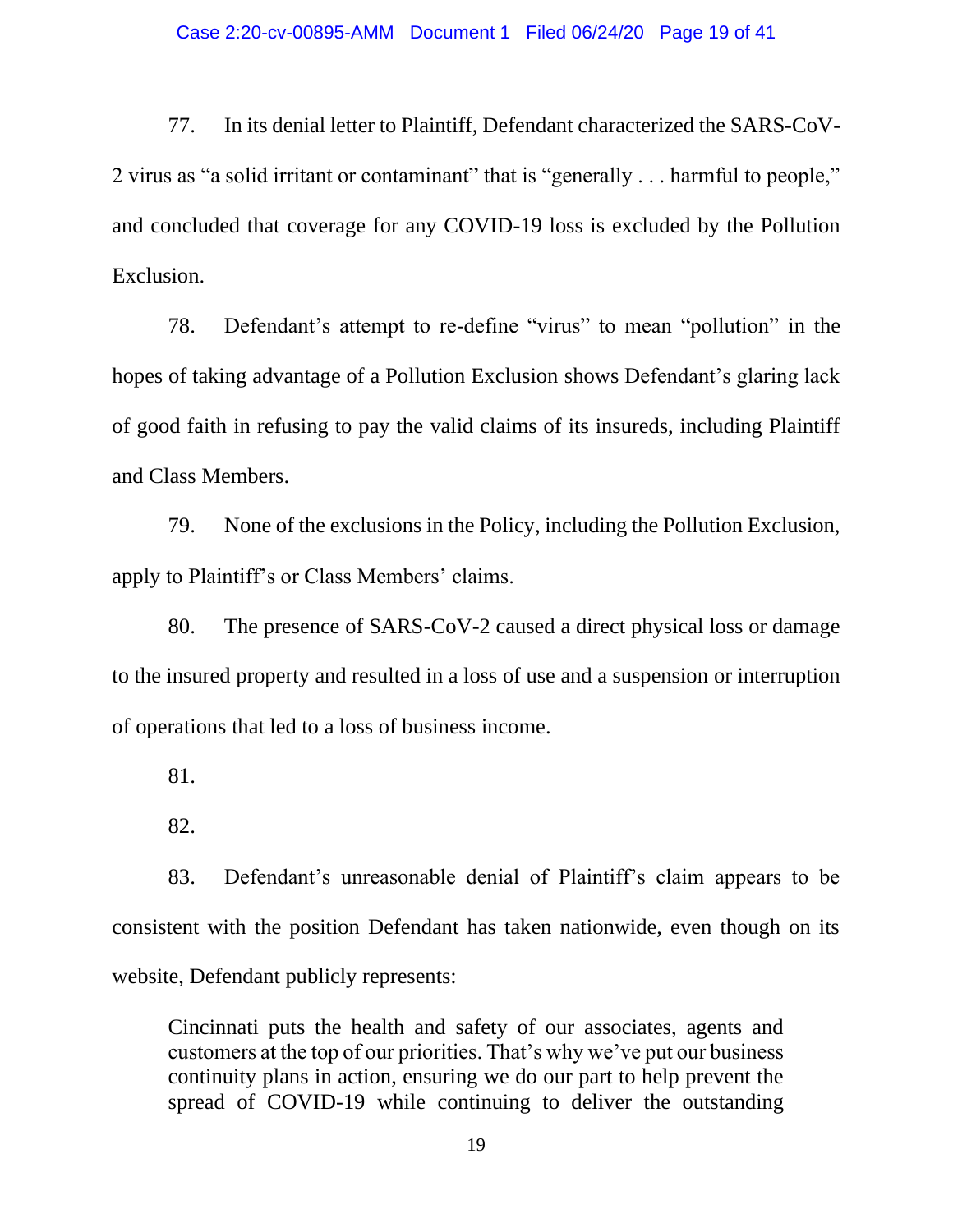#### Case 2:20-cv-00895-AMM Document 1 Filed 06/24/20 Page 19 of 41

77. In its denial letter to Plaintiff, Defendant characterized the SARS-CoV-2 virus as "a solid irritant or contaminant" that is "generally . . . harmful to people," and concluded that coverage for any COVID-19 loss is excluded by the Pollution Exclusion.

78. Defendant's attempt to re-define "virus" to mean "pollution" in the hopes of taking advantage of a Pollution Exclusion shows Defendant's glaring lack of good faith in refusing to pay the valid claims of its insureds, including Plaintiff and Class Members.

79. None of the exclusions in the Policy, including the Pollution Exclusion, apply to Plaintiff's or Class Members' claims.

80. The presence of SARS-CoV-2 caused a direct physical loss or damage to the insured property and resulted in a loss of use and a suspension or interruption of operations that led to a loss of business income.

81.

82.

83. Defendant's unreasonable denial of Plaintiff's claim appears to be consistent with the position Defendant has taken nationwide, even though on its website, Defendant publicly represents:

Cincinnati puts the health and safety of our associates, agents and customers at the top of our priorities. That's why we've put our business continuity plans in action, ensuring we do our part to help prevent the spread of COVID-19 while continuing to deliver the outstanding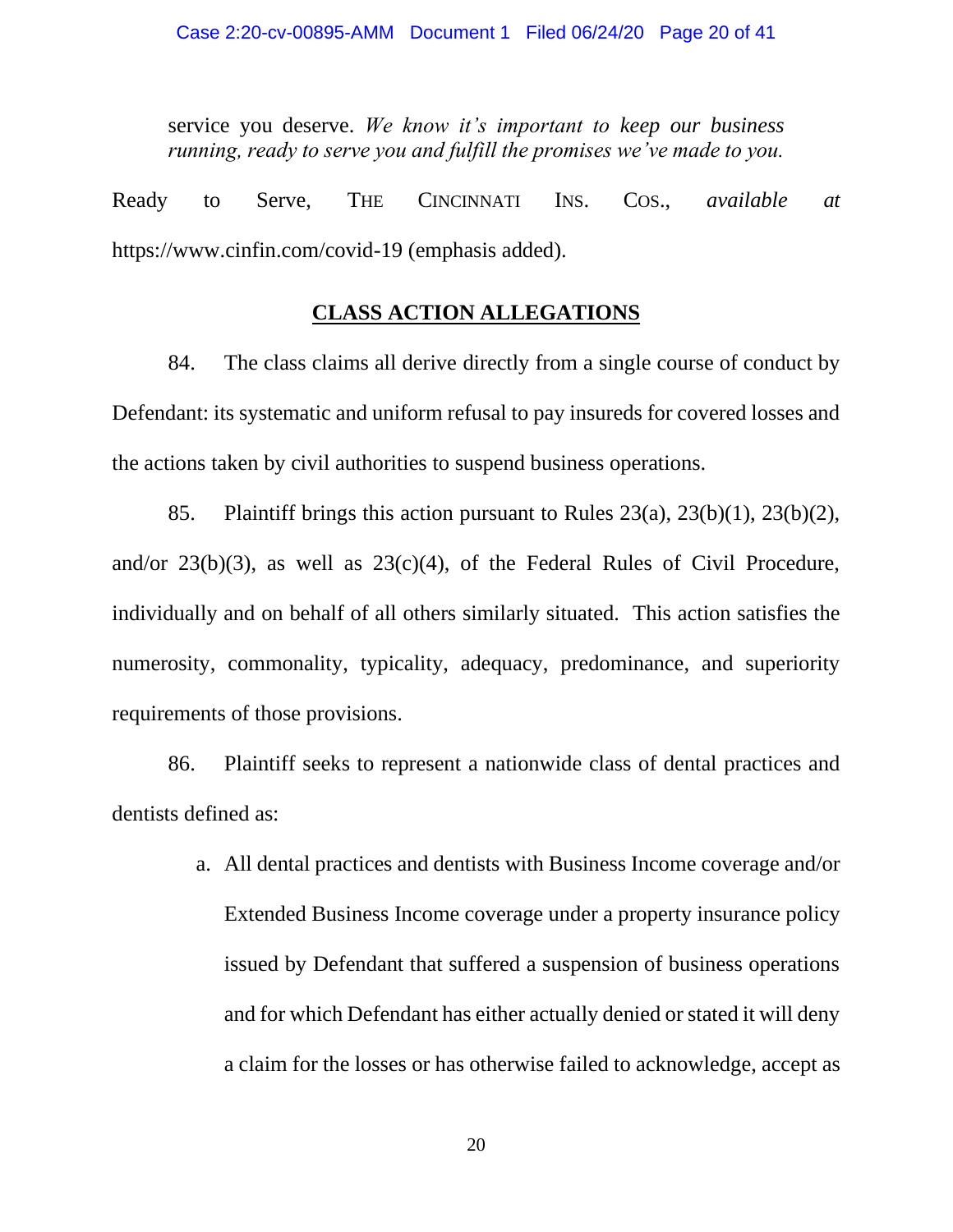service you deserve. *We know it's important to keep our business running, ready to serve you and fulfill the promises we've made to you.*

Ready to Serve, THE CINCINNATI INS. COS., *available at*  https://www.cinfin.com/covid-19 (emphasis added).

### **CLASS ACTION ALLEGATIONS**

84. The class claims all derive directly from a single course of conduct by Defendant: its systematic and uniform refusal to pay insureds for covered losses and the actions taken by civil authorities to suspend business operations.

85. Plaintiff brings this action pursuant to Rules 23(a), 23(b)(1), 23(b)(2), and/or  $23(b)(3)$ , as well as  $23(c)(4)$ , of the Federal Rules of Civil Procedure, individually and on behalf of all others similarly situated. This action satisfies the numerosity, commonality, typicality, adequacy, predominance, and superiority requirements of those provisions.

86. Plaintiff seeks to represent a nationwide class of dental practices and dentists defined as:

> a. All dental practices and dentists with Business Income coverage and/or Extended Business Income coverage under a property insurance policy issued by Defendant that suffered a suspension of business operations and for which Defendant has either actually denied or stated it will deny a claim for the losses or has otherwise failed to acknowledge, accept as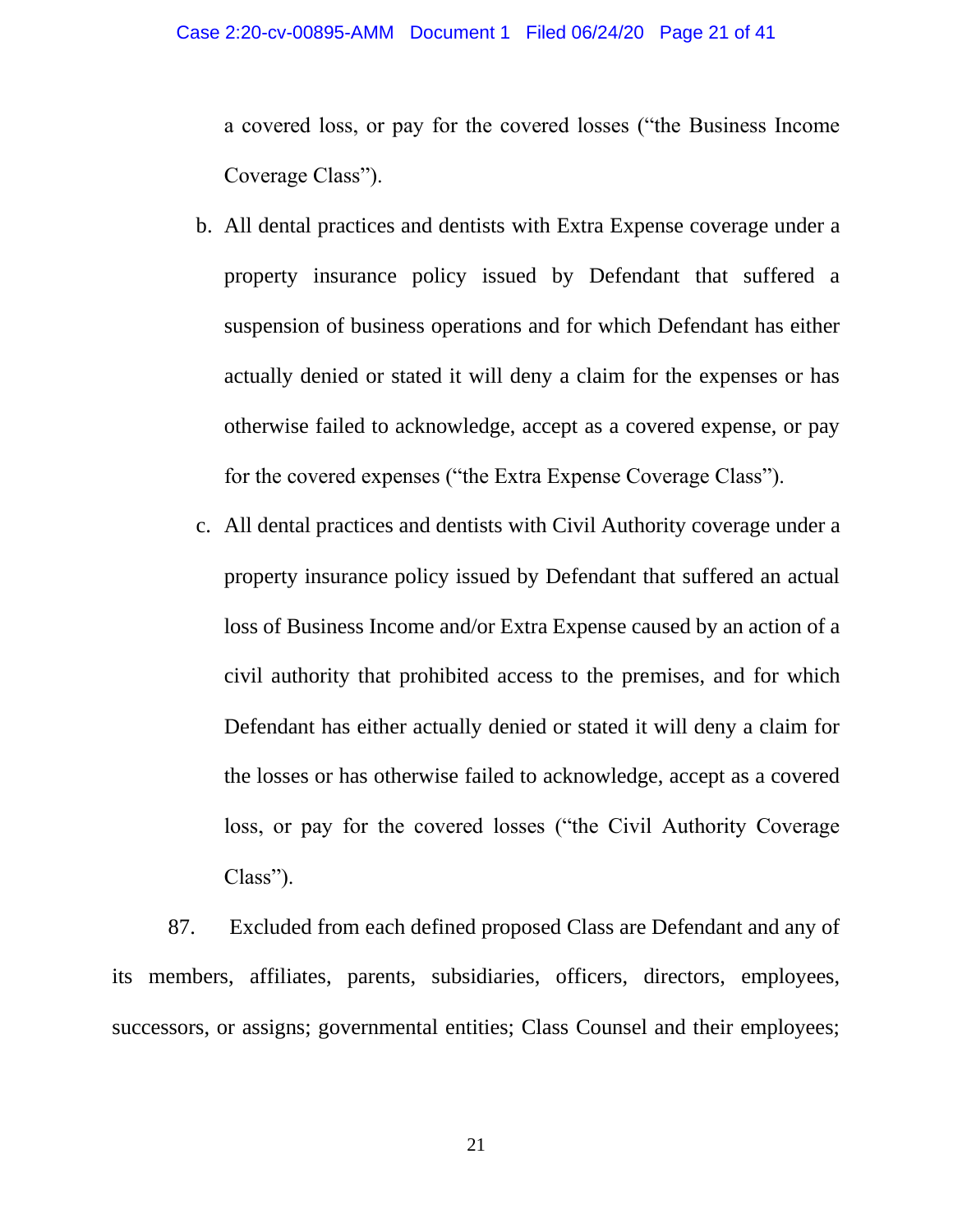a covered loss, or pay for the covered losses ("the Business Income Coverage Class").

- b. All dental practices and dentists with Extra Expense coverage under a property insurance policy issued by Defendant that suffered a suspension of business operations and for which Defendant has either actually denied or stated it will deny a claim for the expenses or has otherwise failed to acknowledge, accept as a covered expense, or pay for the covered expenses ("the Extra Expense Coverage Class").
- c. All dental practices and dentists with Civil Authority coverage under a property insurance policy issued by Defendant that suffered an actual loss of Business Income and/or Extra Expense caused by an action of a civil authority that prohibited access to the premises, and for which Defendant has either actually denied or stated it will deny a claim for the losses or has otherwise failed to acknowledge, accept as a covered loss, or pay for the covered losses ("the Civil Authority Coverage Class").

87. Excluded from each defined proposed Class are Defendant and any of its members, affiliates, parents, subsidiaries, officers, directors, employees, successors, or assigns; governmental entities; Class Counsel and their employees;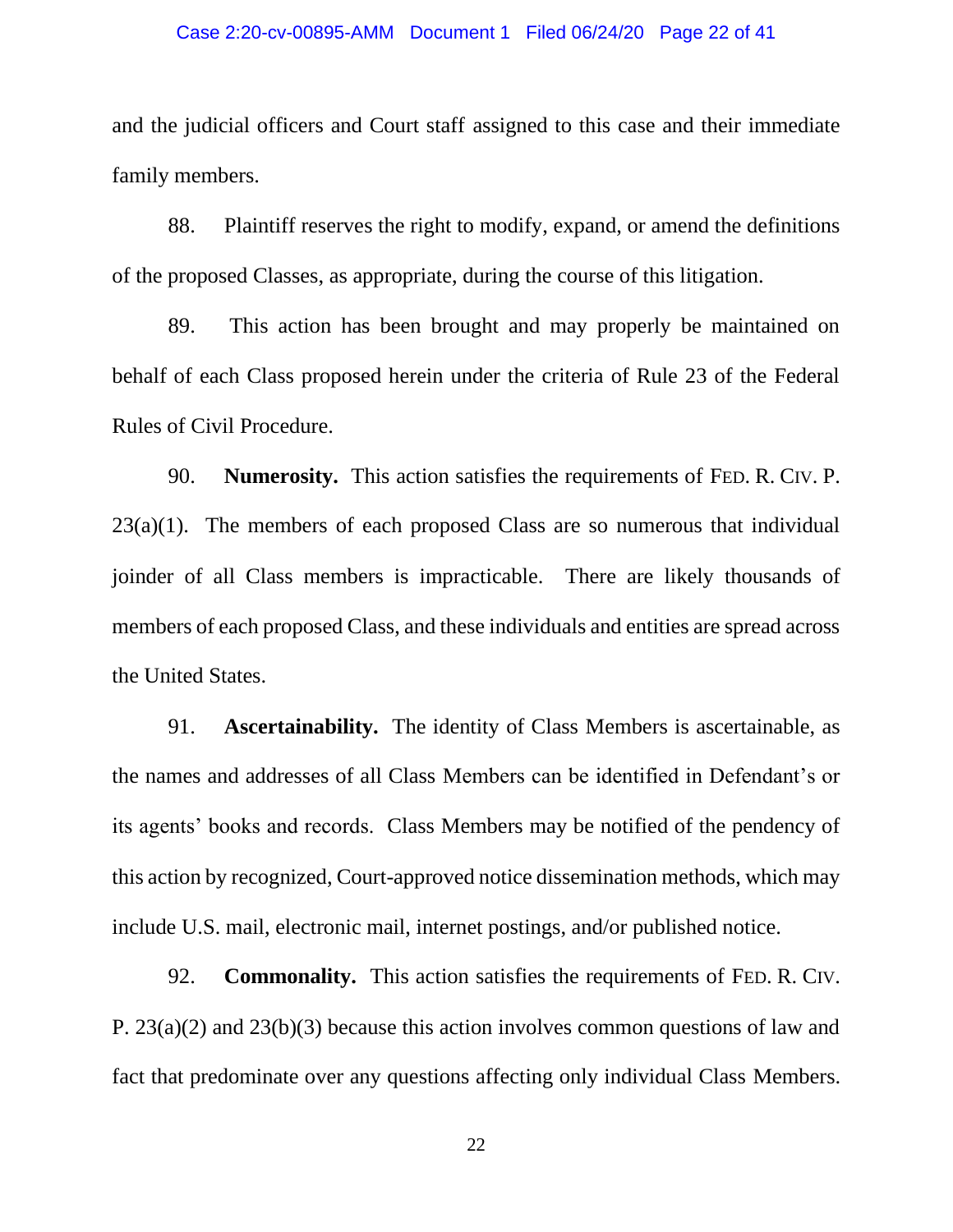#### Case 2:20-cv-00895-AMM Document 1 Filed 06/24/20 Page 22 of 41

and the judicial officers and Court staff assigned to this case and their immediate family members.

88. Plaintiff reserves the right to modify, expand, or amend the definitions of the proposed Classes, as appropriate, during the course of this litigation.

89. This action has been brought and may properly be maintained on behalf of each Class proposed herein under the criteria of Rule 23 of the Federal Rules of Civil Procedure.

90. **Numerosity.** This action satisfies the requirements of FED. R. CIV. P.  $23(a)(1)$ . The members of each proposed Class are so numerous that individual joinder of all Class members is impracticable. There are likely thousands of members of each proposed Class, and these individuals and entities are spread across the United States.

91. **Ascertainability.** The identity of Class Members is ascertainable, as the names and addresses of all Class Members can be identified in Defendant's or its agents' books and records. Class Members may be notified of the pendency of this action by recognized, Court-approved notice dissemination methods, which may include U.S. mail, electronic mail, internet postings, and/or published notice.

92. **Commonality.** This action satisfies the requirements of FED. R. CIV. P. 23(a)(2) and 23(b)(3) because this action involves common questions of law and fact that predominate over any questions affecting only individual Class Members.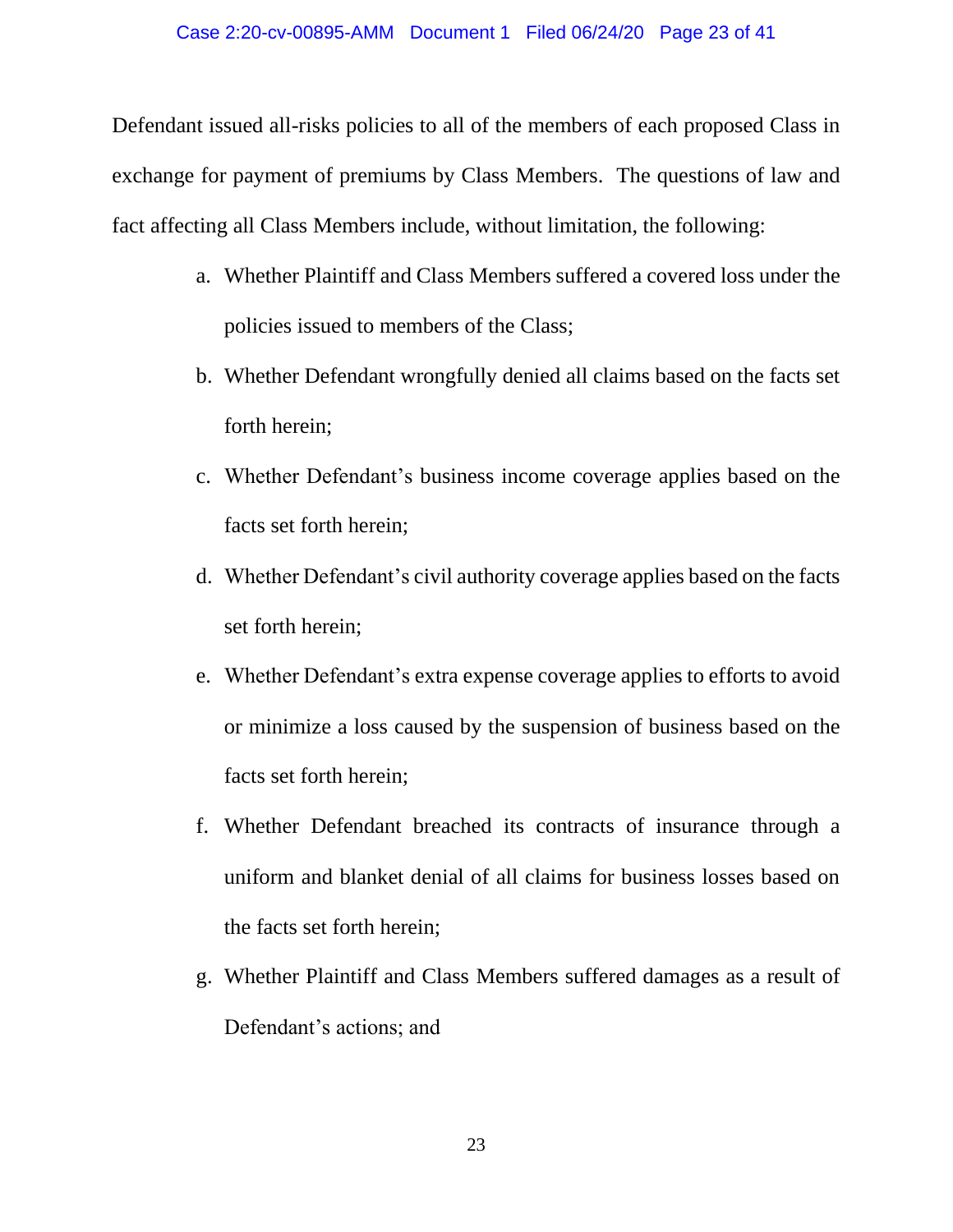Defendant issued all-risks policies to all of the members of each proposed Class in exchange for payment of premiums by Class Members. The questions of law and fact affecting all Class Members include, without limitation, the following:

- a. Whether Plaintiff and Class Members suffered a covered loss under the policies issued to members of the Class;
- b. Whether Defendant wrongfully denied all claims based on the facts set forth herein;
- c. Whether Defendant's business income coverage applies based on the facts set forth herein;
- d. Whether Defendant's civil authority coverage applies based on the facts set forth herein;
- e. Whether Defendant's extra expense coverage applies to efforts to avoid or minimize a loss caused by the suspension of business based on the facts set forth herein;
- f. Whether Defendant breached its contracts of insurance through a uniform and blanket denial of all claims for business losses based on the facts set forth herein;
- g. Whether Plaintiff and Class Members suffered damages as a result of Defendant's actions; and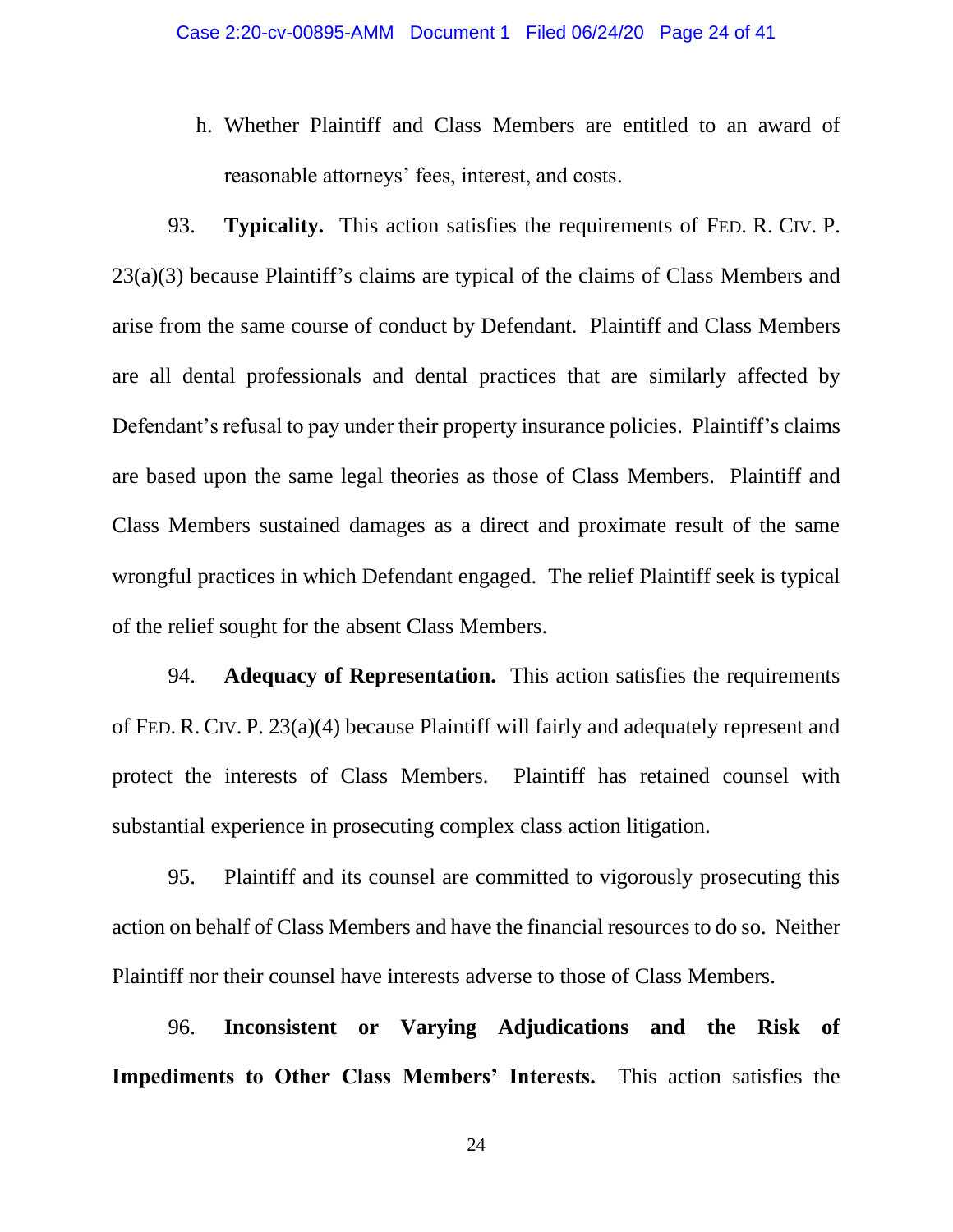h. Whether Plaintiff and Class Members are entitled to an award of reasonable attorneys' fees, interest, and costs.

93. **Typicality.** This action satisfies the requirements of FED. R. CIV. P. 23(a)(3) because Plaintiff's claims are typical of the claims of Class Members and arise from the same course of conduct by Defendant. Plaintiff and Class Members are all dental professionals and dental practices that are similarly affected by Defendant's refusal to pay under their property insurance policies. Plaintiff's claims are based upon the same legal theories as those of Class Members. Plaintiff and Class Members sustained damages as a direct and proximate result of the same wrongful practices in which Defendant engaged. The relief Plaintiff seek is typical of the relief sought for the absent Class Members.

94. **Adequacy of Representation.** This action satisfies the requirements of FED. R. CIV. P. 23(a)(4) because Plaintiff will fairly and adequately represent and protect the interests of Class Members. Plaintiff has retained counsel with substantial experience in prosecuting complex class action litigation.

95. Plaintiff and its counsel are committed to vigorously prosecuting this action on behalf of Class Members and have the financial resources to do so. Neither Plaintiff nor their counsel have interests adverse to those of Class Members.

96. **Inconsistent or Varying Adjudications and the Risk of Impediments to Other Class Members' Interests.** This action satisfies the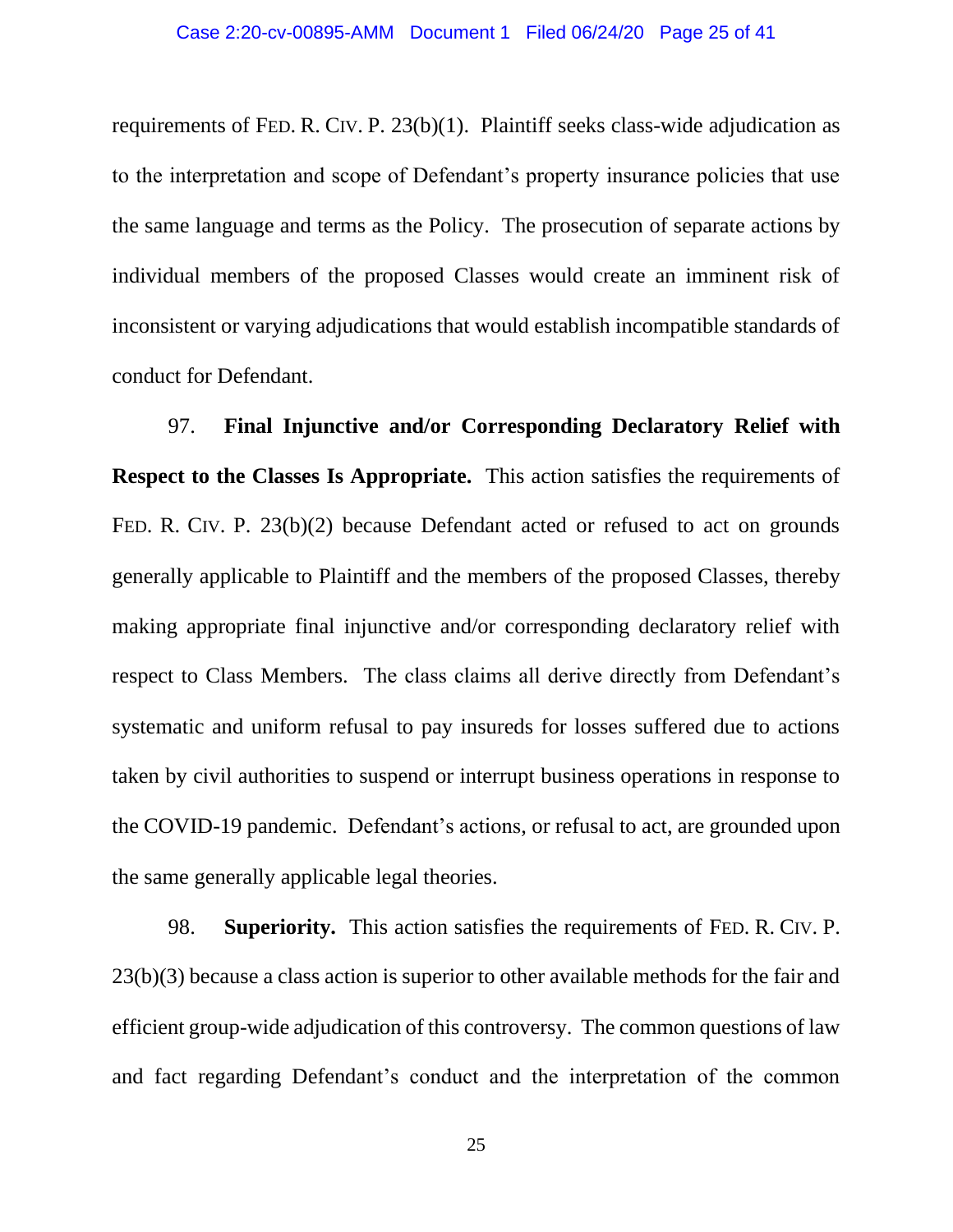requirements of FED. R. CIV. P. 23(b)(1). Plaintiff seeks class-wide adjudication as to the interpretation and scope of Defendant's property insurance policies that use the same language and terms as the Policy. The prosecution of separate actions by individual members of the proposed Classes would create an imminent risk of inconsistent or varying adjudications that would establish incompatible standards of conduct for Defendant.

97. **Final Injunctive and/or Corresponding Declaratory Relief with Respect to the Classes Is Appropriate.** This action satisfies the requirements of FED. R. CIV. P. 23(b)(2) because Defendant acted or refused to act on grounds generally applicable to Plaintiff and the members of the proposed Classes, thereby making appropriate final injunctive and/or corresponding declaratory relief with respect to Class Members. The class claims all derive directly from Defendant's systematic and uniform refusal to pay insureds for losses suffered due to actions taken by civil authorities to suspend or interrupt business operations in response to the COVID-19 pandemic. Defendant's actions, or refusal to act, are grounded upon the same generally applicable legal theories.

98. **Superiority.** This action satisfies the requirements of FED. R. CIV. P. 23(b)(3) because a class action is superior to other available methods for the fair and efficient group-wide adjudication of this controversy. The common questions of law and fact regarding Defendant's conduct and the interpretation of the common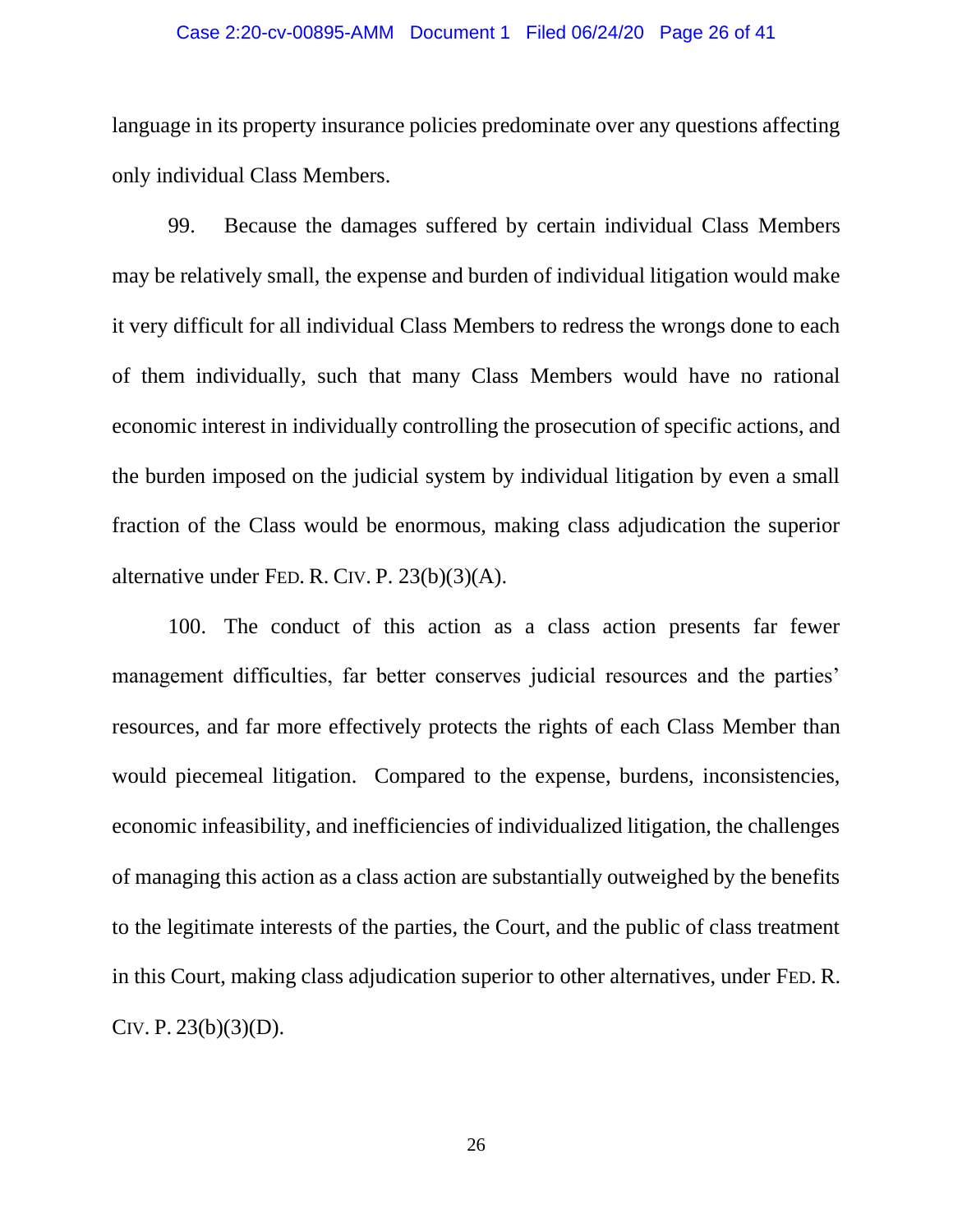#### Case 2:20-cv-00895-AMM Document 1 Filed 06/24/20 Page 26 of 41

language in its property insurance policies predominate over any questions affecting only individual Class Members.

99. Because the damages suffered by certain individual Class Members may be relatively small, the expense and burden of individual litigation would make it very difficult for all individual Class Members to redress the wrongs done to each of them individually, such that many Class Members would have no rational economic interest in individually controlling the prosecution of specific actions, and the burden imposed on the judicial system by individual litigation by even a small fraction of the Class would be enormous, making class adjudication the superior alternative under FED. R. CIV. P. 23(b)(3)(A).

100. The conduct of this action as a class action presents far fewer management difficulties, far better conserves judicial resources and the parties' resources, and far more effectively protects the rights of each Class Member than would piecemeal litigation. Compared to the expense, burdens, inconsistencies, economic infeasibility, and inefficiencies of individualized litigation, the challenges of managing this action as a class action are substantially outweighed by the benefits to the legitimate interests of the parties, the Court, and the public of class treatment in this Court, making class adjudication superior to other alternatives, under FED. R. CIV. P.  $23(b)(3)(D)$ .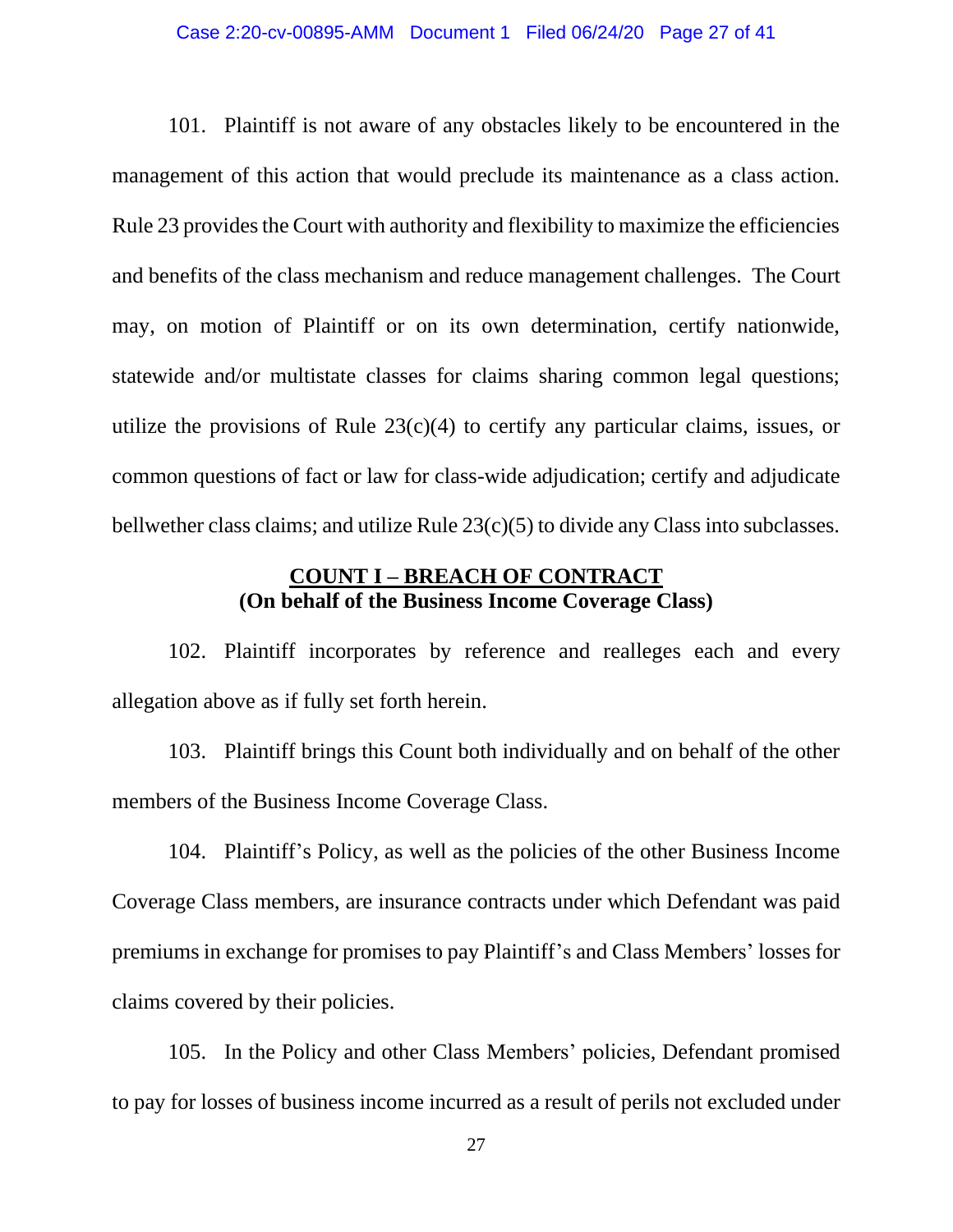#### Case 2:20-cv-00895-AMM Document 1 Filed 06/24/20 Page 27 of 41

101. Plaintiff is not aware of any obstacles likely to be encountered in the management of this action that would preclude its maintenance as a class action. Rule 23 provides the Court with authority and flexibility to maximize the efficiencies and benefits of the class mechanism and reduce management challenges. The Court may, on motion of Plaintiff or on its own determination, certify nationwide, statewide and/or multistate classes for claims sharing common legal questions; utilize the provisions of Rule  $23(c)(4)$  to certify any particular claims, issues, or common questions of fact or law for class-wide adjudication; certify and adjudicate bellwether class claims; and utilize Rule 23(c)(5) to divide any Class into subclasses.

## **COUNT I – BREACH OF CONTRACT (On behalf of the Business Income Coverage Class)**

102. Plaintiff incorporates by reference and realleges each and every allegation above as if fully set forth herein.

103. Plaintiff brings this Count both individually and on behalf of the other members of the Business Income Coverage Class.

104. Plaintiff's Policy, as well as the policies of the other Business Income Coverage Class members, are insurance contracts under which Defendant was paid premiums in exchange for promises to pay Plaintiff's and Class Members' losses for claims covered by their policies.

105. In the Policy and other Class Members' policies, Defendant promised to pay for losses of business income incurred as a result of perils not excluded under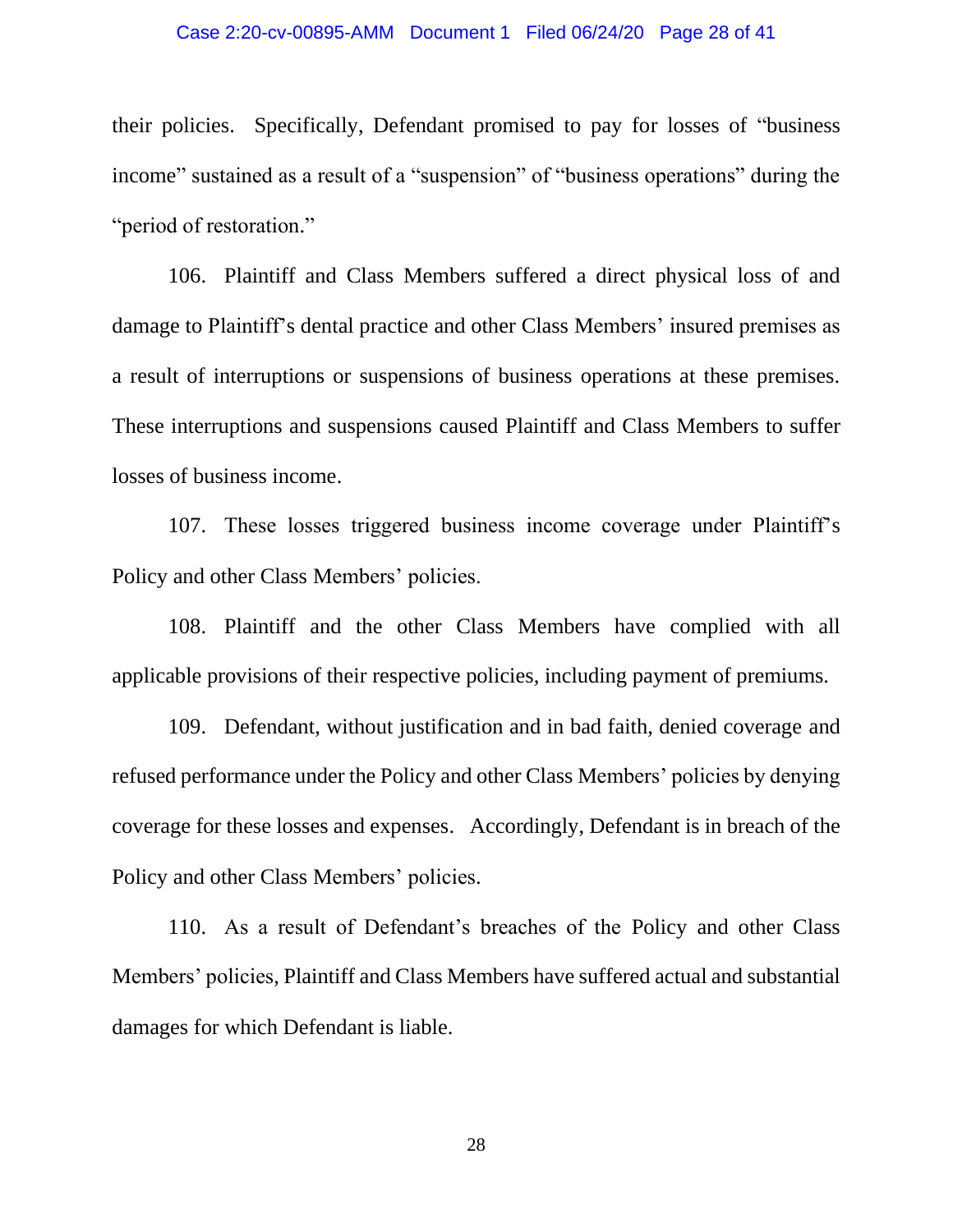#### Case 2:20-cv-00895-AMM Document 1 Filed 06/24/20 Page 28 of 41

their policies. Specifically, Defendant promised to pay for losses of "business income" sustained as a result of a "suspension" of "business operations" during the "period of restoration."

106. Plaintiff and Class Members suffered a direct physical loss of and damage to Plaintiff's dental practice and other Class Members' insured premises as a result of interruptions or suspensions of business operations at these premises. These interruptions and suspensions caused Plaintiff and Class Members to suffer losses of business income.

107. These losses triggered business income coverage under Plaintiff's Policy and other Class Members' policies.

108. Plaintiff and the other Class Members have complied with all applicable provisions of their respective policies, including payment of premiums.

109. Defendant, without justification and in bad faith, denied coverage and refused performance under the Policy and other Class Members' policies by denying coverage for these losses and expenses. Accordingly, Defendant is in breach of the Policy and other Class Members' policies.

110. As a result of Defendant's breaches of the Policy and other Class Members' policies, Plaintiff and Class Members have suffered actual and substantial damages for which Defendant is liable.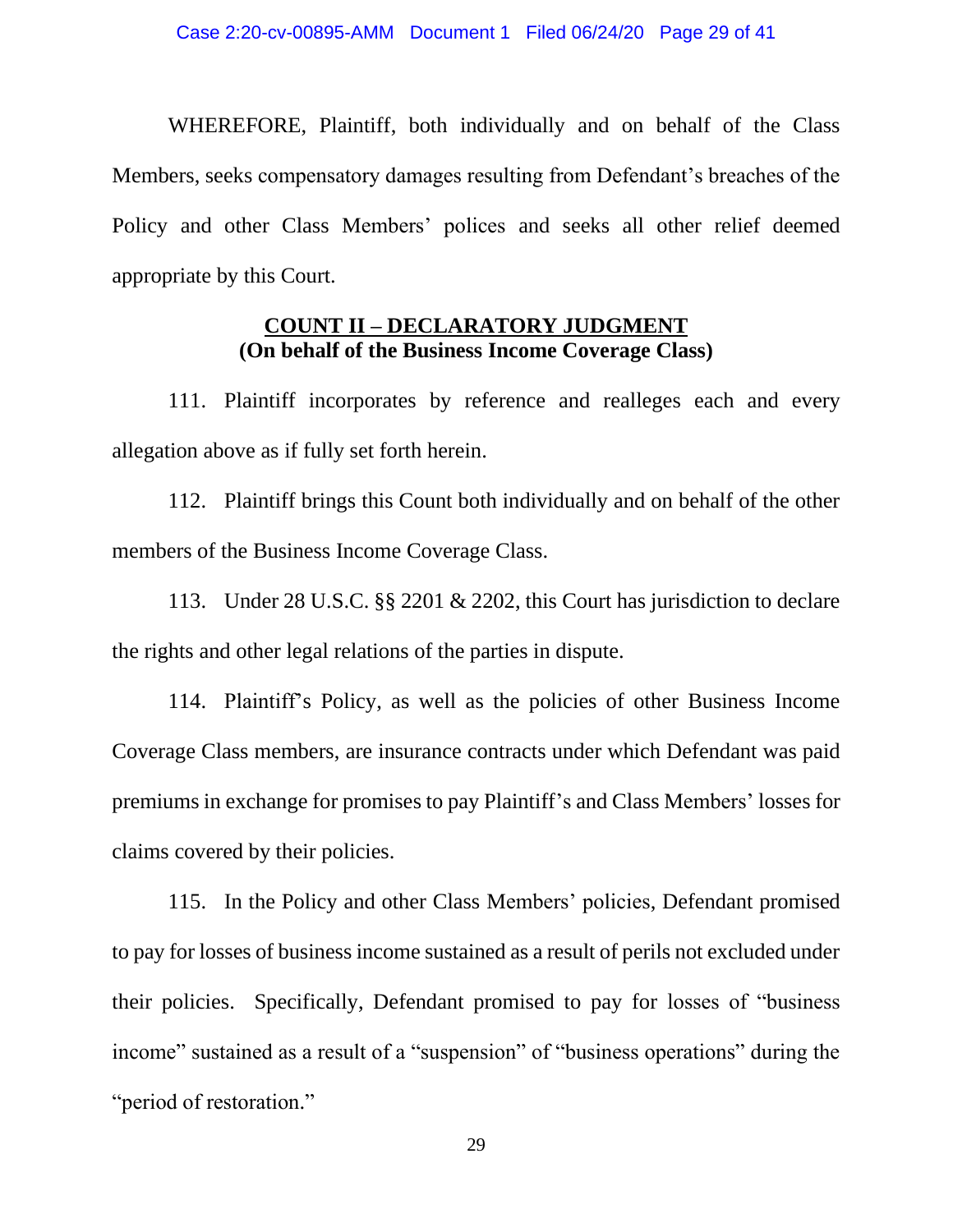WHEREFORE, Plaintiff, both individually and on behalf of the Class Members, seeks compensatory damages resulting from Defendant's breaches of the Policy and other Class Members' polices and seeks all other relief deemed appropriate by this Court.

### **COUNT II – DECLARATORY JUDGMENT (On behalf of the Business Income Coverage Class)**

111. Plaintiff incorporates by reference and realleges each and every allegation above as if fully set forth herein.

112. Plaintiff brings this Count both individually and on behalf of the other members of the Business Income Coverage Class.

113. Under 28 U.S.C. §§ 2201 & 2202, this Court has jurisdiction to declare the rights and other legal relations of the parties in dispute.

114. Plaintiff's Policy, as well as the policies of other Business Income Coverage Class members, are insurance contracts under which Defendant was paid premiums in exchange for promises to pay Plaintiff's and Class Members' losses for claims covered by their policies.

115. In the Policy and other Class Members' policies, Defendant promised to pay for losses of business income sustained as a result of perils not excluded under their policies. Specifically, Defendant promised to pay for losses of "business income" sustained as a result of a "suspension" of "business operations" during the "period of restoration."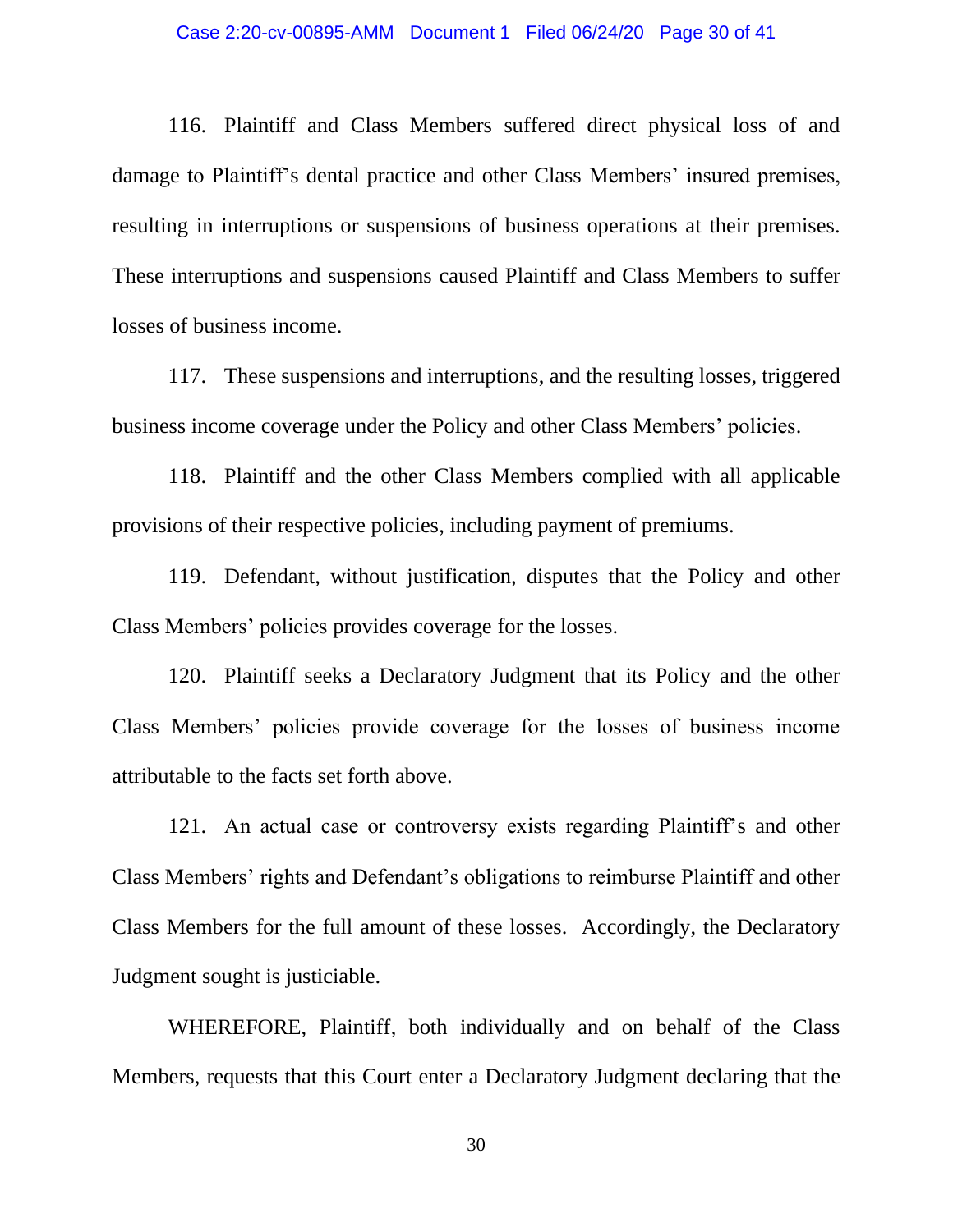#### Case 2:20-cv-00895-AMM Document 1 Filed 06/24/20 Page 30 of 41

116. Plaintiff and Class Members suffered direct physical loss of and damage to Plaintiff's dental practice and other Class Members' insured premises, resulting in interruptions or suspensions of business operations at their premises. These interruptions and suspensions caused Plaintiff and Class Members to suffer losses of business income.

117. These suspensions and interruptions, and the resulting losses, triggered business income coverage under the Policy and other Class Members' policies.

118. Plaintiff and the other Class Members complied with all applicable provisions of their respective policies, including payment of premiums.

119. Defendant, without justification, disputes that the Policy and other Class Members' policies provides coverage for the losses.

120. Plaintiff seeks a Declaratory Judgment that its Policy and the other Class Members' policies provide coverage for the losses of business income attributable to the facts set forth above.

121. An actual case or controversy exists regarding Plaintiff's and other Class Members' rights and Defendant's obligations to reimburse Plaintiff and other Class Members for the full amount of these losses. Accordingly, the Declaratory Judgment sought is justiciable.

WHEREFORE, Plaintiff, both individually and on behalf of the Class Members, requests that this Court enter a Declaratory Judgment declaring that the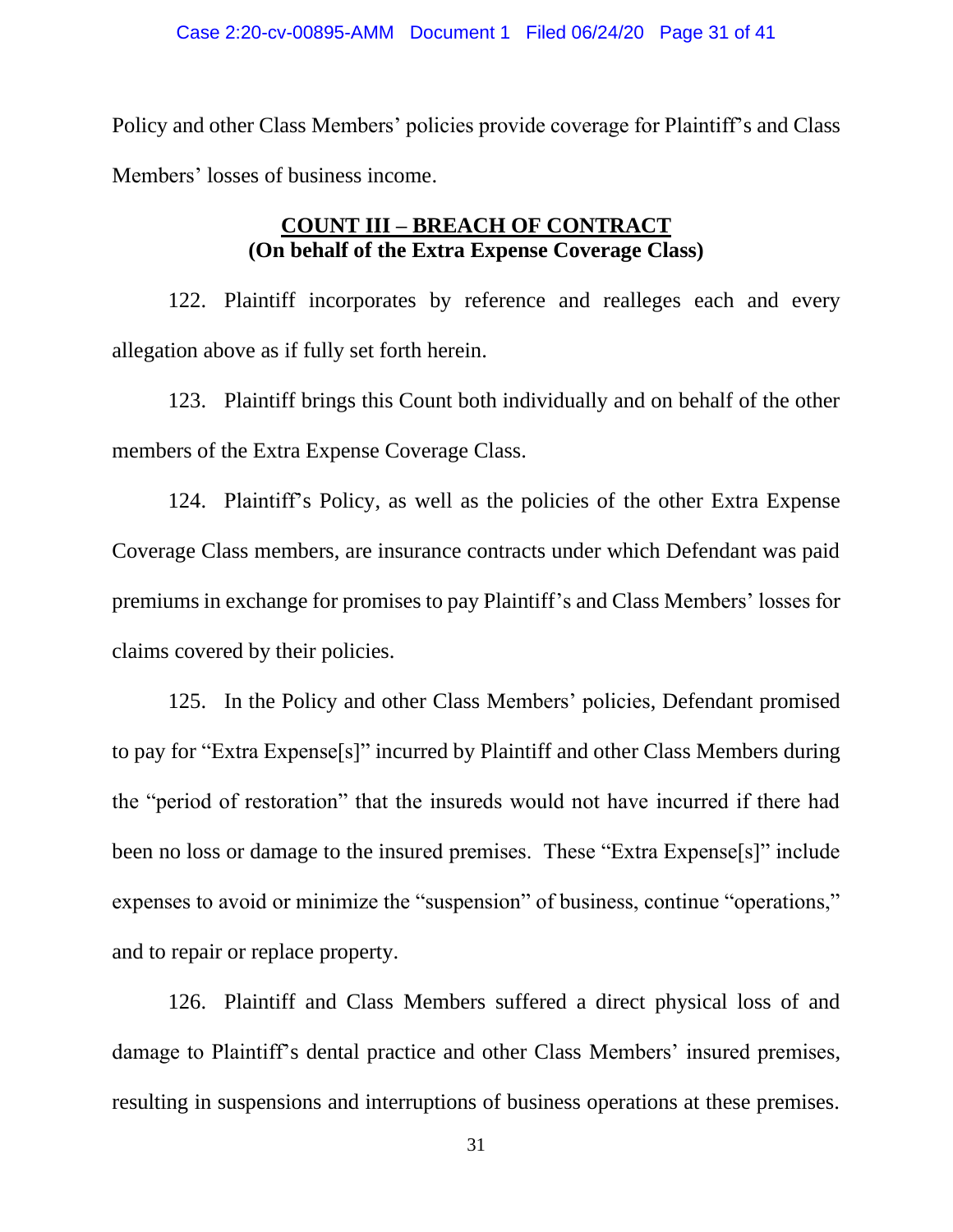Policy and other Class Members' policies provide coverage for Plaintiff's and Class Members' losses of business income.

## **COUNT III – BREACH OF CONTRACT (On behalf of the Extra Expense Coverage Class)**

122. Plaintiff incorporates by reference and realleges each and every allegation above as if fully set forth herein.

123. Plaintiff brings this Count both individually and on behalf of the other members of the Extra Expense Coverage Class.

124. Plaintiff's Policy, as well as the policies of the other Extra Expense Coverage Class members, are insurance contracts under which Defendant was paid premiums in exchange for promises to pay Plaintiff's and Class Members' losses for claims covered by their policies.

125. In the Policy and other Class Members' policies, Defendant promised to pay for "Extra Expense[s]" incurred by Plaintiff and other Class Members during the "period of restoration" that the insureds would not have incurred if there had been no loss or damage to the insured premises. These "Extra Expense[s]" include expenses to avoid or minimize the "suspension" of business, continue "operations," and to repair or replace property.

126. Plaintiff and Class Members suffered a direct physical loss of and damage to Plaintiff's dental practice and other Class Members' insured premises, resulting in suspensions and interruptions of business operations at these premises.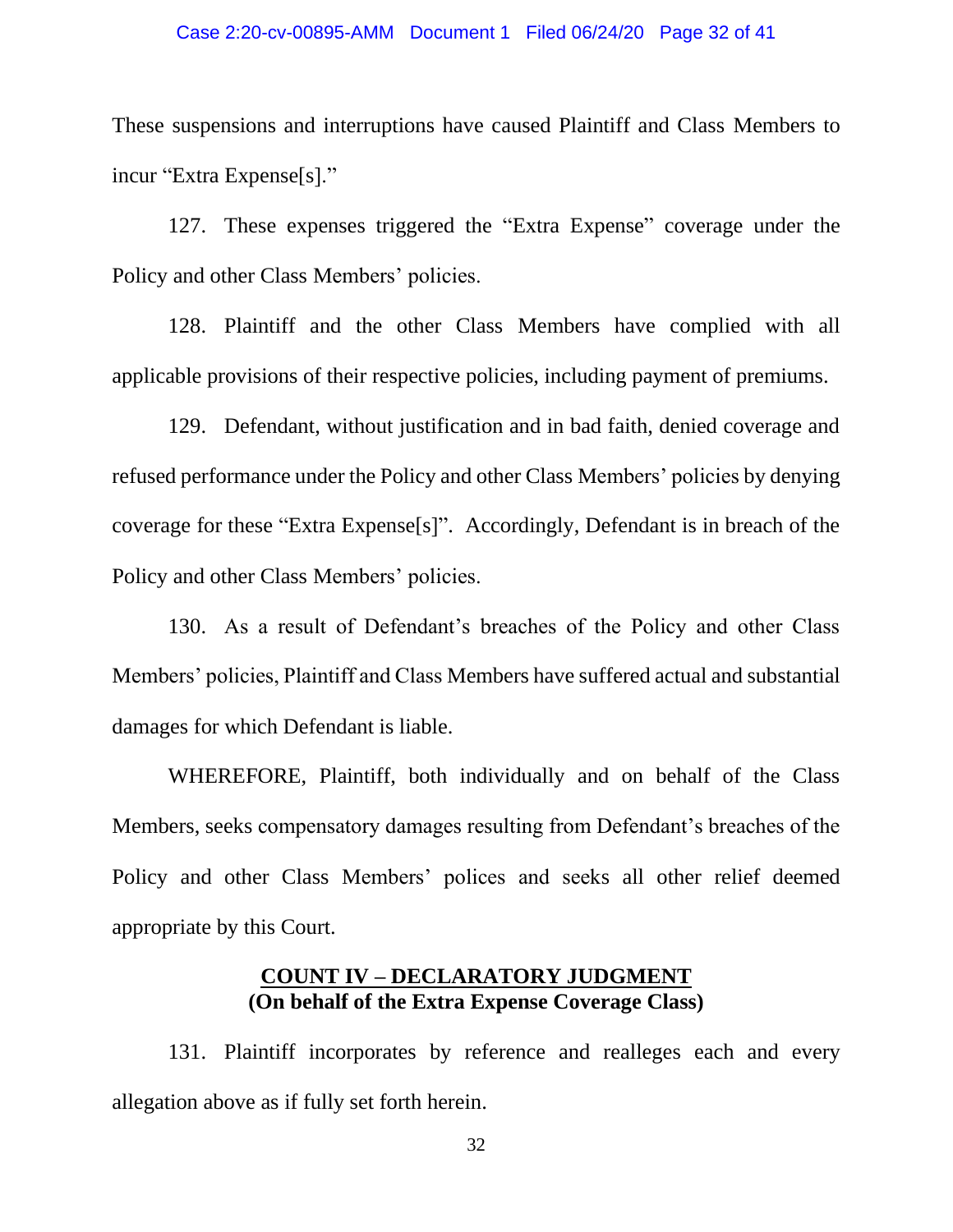#### Case 2:20-cv-00895-AMM Document 1 Filed 06/24/20 Page 32 of 41

These suspensions and interruptions have caused Plaintiff and Class Members to incur "Extra Expense[s]."

127. These expenses triggered the "Extra Expense" coverage under the Policy and other Class Members' policies.

128. Plaintiff and the other Class Members have complied with all applicable provisions of their respective policies, including payment of premiums.

129. Defendant, without justification and in bad faith, denied coverage and refused performance under the Policy and other Class Members' policies by denying coverage for these "Extra Expense[s]". Accordingly, Defendant is in breach of the Policy and other Class Members' policies.

130. As a result of Defendant's breaches of the Policy and other Class Members' policies, Plaintiff and Class Members have suffered actual and substantial damages for which Defendant is liable.

WHEREFORE, Plaintiff, both individually and on behalf of the Class Members, seeks compensatory damages resulting from Defendant's breaches of the Policy and other Class Members' polices and seeks all other relief deemed appropriate by this Court.

### **COUNT IV – DECLARATORY JUDGMENT (On behalf of the Extra Expense Coverage Class)**

131. Plaintiff incorporates by reference and realleges each and every allegation above as if fully set forth herein.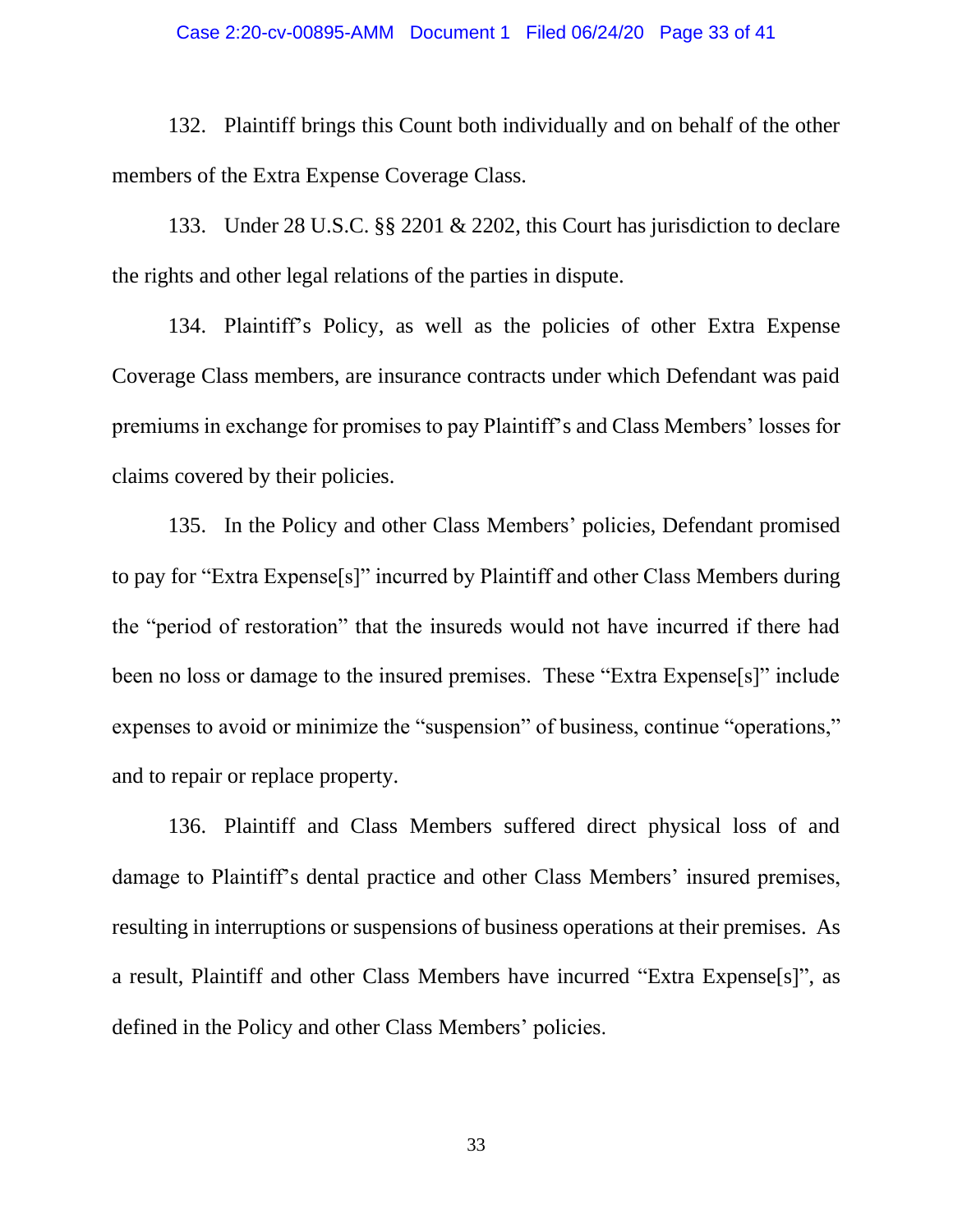#### Case 2:20-cv-00895-AMM Document 1 Filed 06/24/20 Page 33 of 41

132. Plaintiff brings this Count both individually and on behalf of the other members of the Extra Expense Coverage Class.

133. Under 28 U.S.C. §§ 2201 & 2202, this Court has jurisdiction to declare the rights and other legal relations of the parties in dispute.

134. Plaintiff's Policy, as well as the policies of other Extra Expense Coverage Class members, are insurance contracts under which Defendant was paid premiums in exchange for promises to pay Plaintiff's and Class Members' losses for claims covered by their policies.

135. In the Policy and other Class Members' policies, Defendant promised to pay for "Extra Expense[s]" incurred by Plaintiff and other Class Members during the "period of restoration" that the insureds would not have incurred if there had been no loss or damage to the insured premises. These "Extra Expense[s]" include expenses to avoid or minimize the "suspension" of business, continue "operations," and to repair or replace property.

136. Plaintiff and Class Members suffered direct physical loss of and damage to Plaintiff's dental practice and other Class Members' insured premises, resulting in interruptions or suspensions of business operations at their premises. As a result, Plaintiff and other Class Members have incurred "Extra Expense[s]", as defined in the Policy and other Class Members' policies.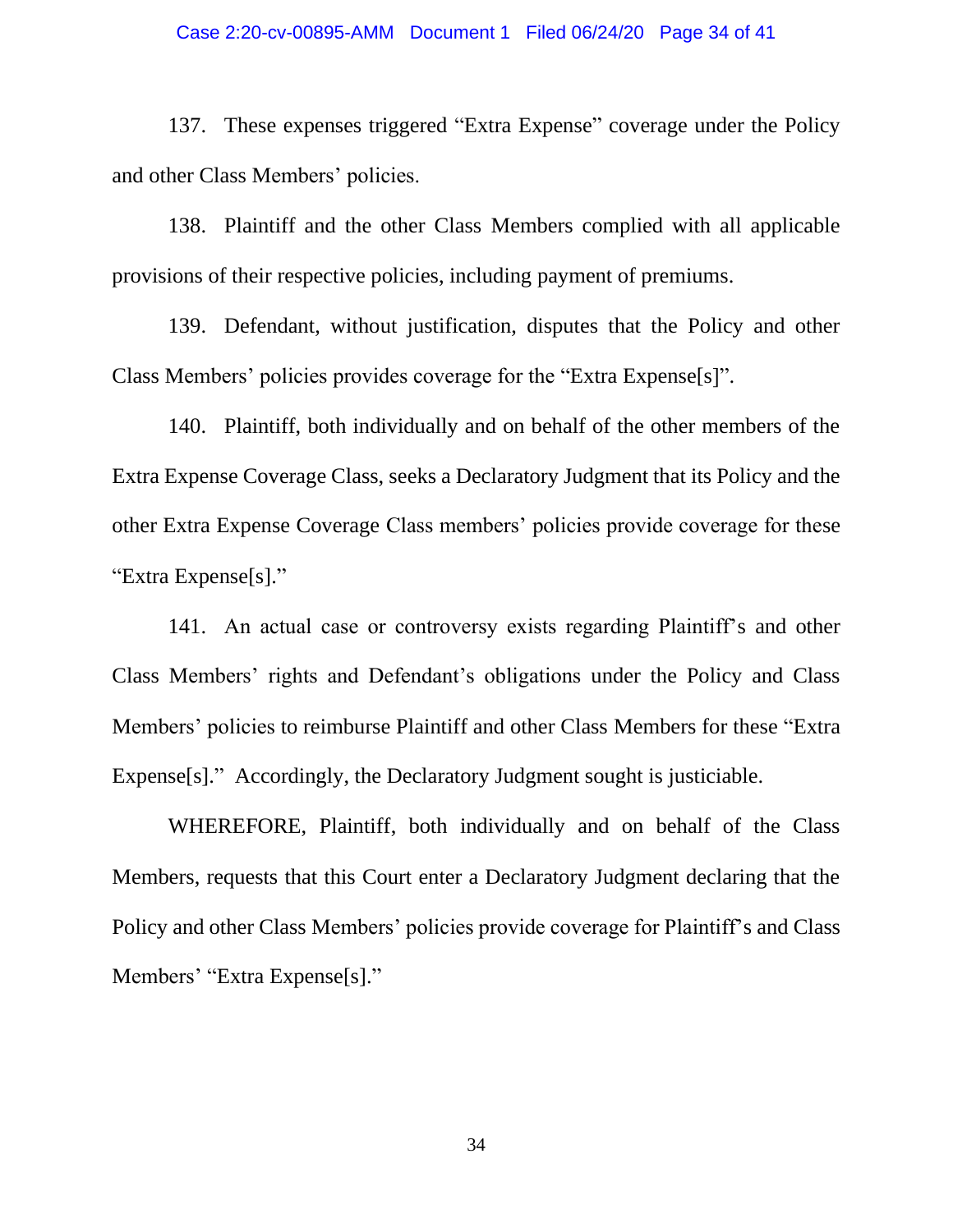#### Case 2:20-cv-00895-AMM Document 1 Filed 06/24/20 Page 34 of 41

137. These expenses triggered "Extra Expense" coverage under the Policy and other Class Members' policies.

138. Plaintiff and the other Class Members complied with all applicable provisions of their respective policies, including payment of premiums.

139. Defendant, without justification, disputes that the Policy and other Class Members' policies provides coverage for the "Extra Expense[s]".

140. Plaintiff, both individually and on behalf of the other members of the Extra Expense Coverage Class, seeks a Declaratory Judgment that its Policy and the other Extra Expense Coverage Class members' policies provide coverage for these "Extra Expense[s]."

141. An actual case or controversy exists regarding Plaintiff's and other Class Members' rights and Defendant's obligations under the Policy and Class Members' policies to reimburse Plaintiff and other Class Members for these "Extra Expense[s]." Accordingly, the Declaratory Judgment sought is justiciable.

WHEREFORE, Plaintiff, both individually and on behalf of the Class Members, requests that this Court enter a Declaratory Judgment declaring that the Policy and other Class Members' policies provide coverage for Plaintiff's and Class Members' "Extra Expense[s]."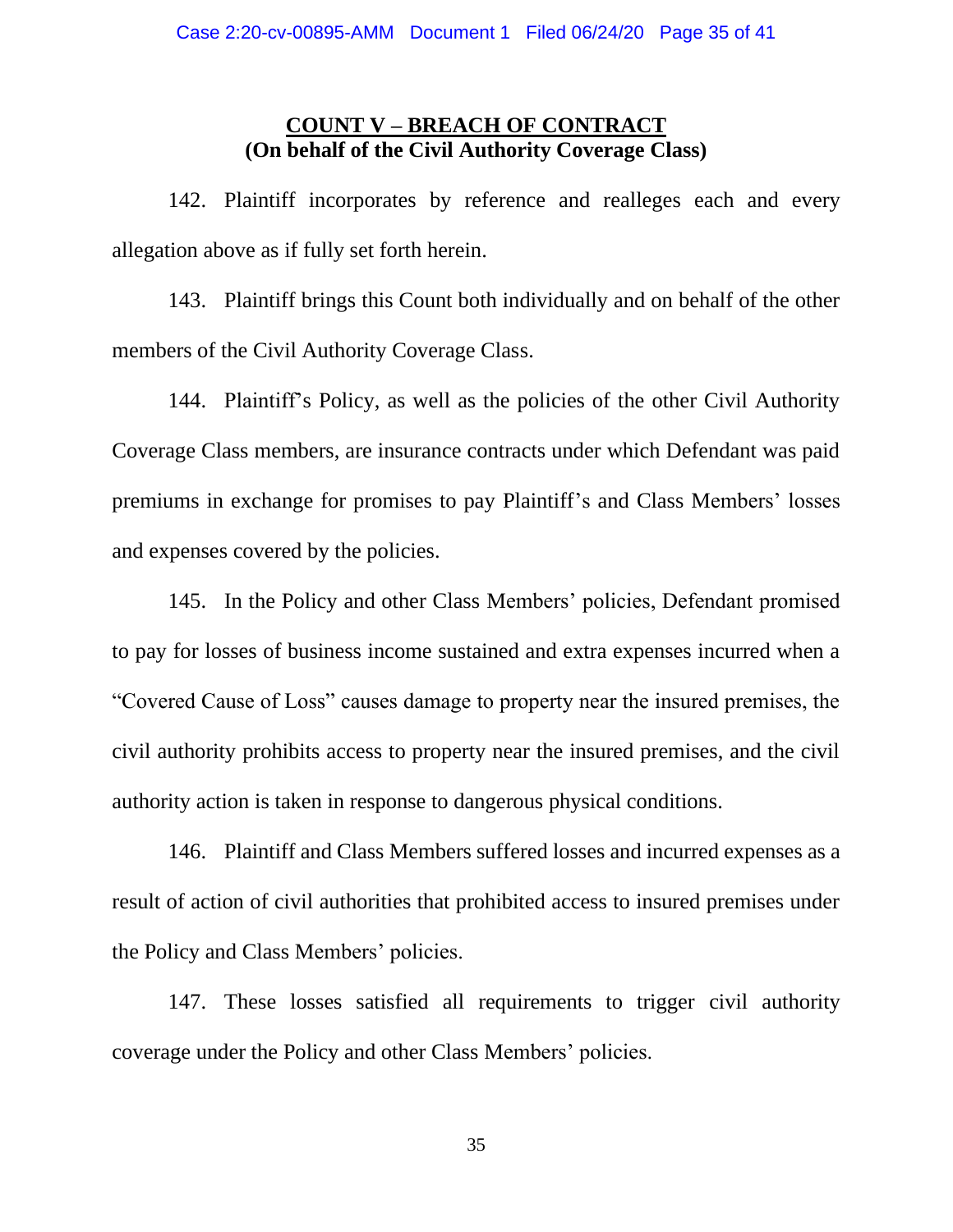### **COUNT V – BREACH OF CONTRACT (On behalf of the Civil Authority Coverage Class)**

142. Plaintiff incorporates by reference and realleges each and every allegation above as if fully set forth herein.

143. Plaintiff brings this Count both individually and on behalf of the other members of the Civil Authority Coverage Class.

144. Plaintiff's Policy, as well as the policies of the other Civil Authority Coverage Class members, are insurance contracts under which Defendant was paid premiums in exchange for promises to pay Plaintiff's and Class Members' losses and expenses covered by the policies.

145. In the Policy and other Class Members' policies, Defendant promised to pay for losses of business income sustained and extra expenses incurred when a "Covered Cause of Loss" causes damage to property near the insured premises, the civil authority prohibits access to property near the insured premises, and the civil authority action is taken in response to dangerous physical conditions.

146. Plaintiff and Class Members suffered losses and incurred expenses as a result of action of civil authorities that prohibited access to insured premises under the Policy and Class Members' policies.

147. These losses satisfied all requirements to trigger civil authority coverage under the Policy and other Class Members' policies.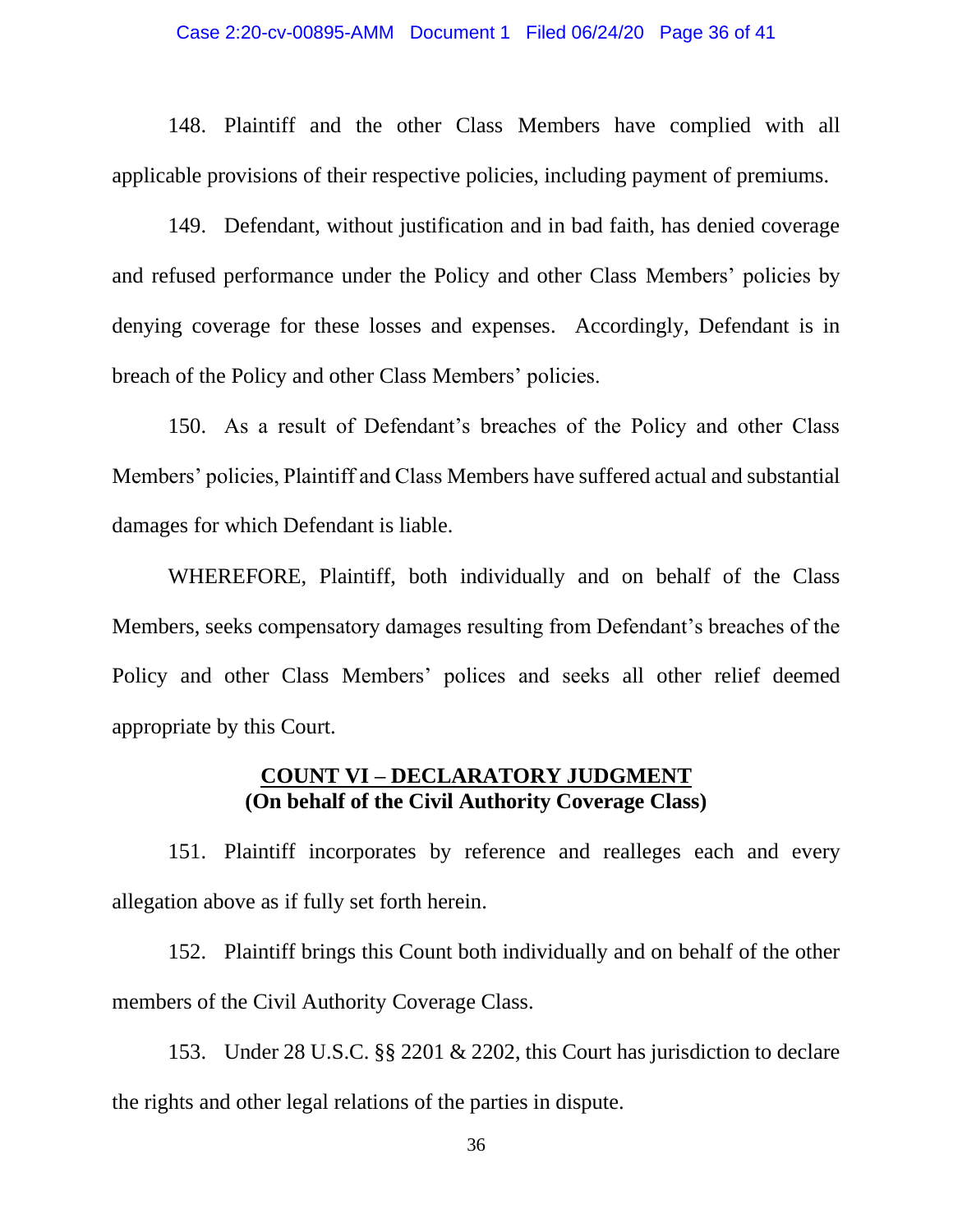#### Case 2:20-cv-00895-AMM Document 1 Filed 06/24/20 Page 36 of 41

148. Plaintiff and the other Class Members have complied with all applicable provisions of their respective policies, including payment of premiums.

149. Defendant, without justification and in bad faith, has denied coverage and refused performance under the Policy and other Class Members' policies by denying coverage for these losses and expenses. Accordingly, Defendant is in breach of the Policy and other Class Members' policies.

150. As a result of Defendant's breaches of the Policy and other Class Members' policies, Plaintiff and Class Members have suffered actual and substantial damages for which Defendant is liable.

WHEREFORE, Plaintiff, both individually and on behalf of the Class Members, seeks compensatory damages resulting from Defendant's breaches of the Policy and other Class Members' polices and seeks all other relief deemed appropriate by this Court.

### **COUNT VI – DECLARATORY JUDGMENT (On behalf of the Civil Authority Coverage Class)**

151. Plaintiff incorporates by reference and realleges each and every allegation above as if fully set forth herein.

152. Plaintiff brings this Count both individually and on behalf of the other members of the Civil Authority Coverage Class.

153. Under 28 U.S.C. §§ 2201 & 2202, this Court has jurisdiction to declare the rights and other legal relations of the parties in dispute.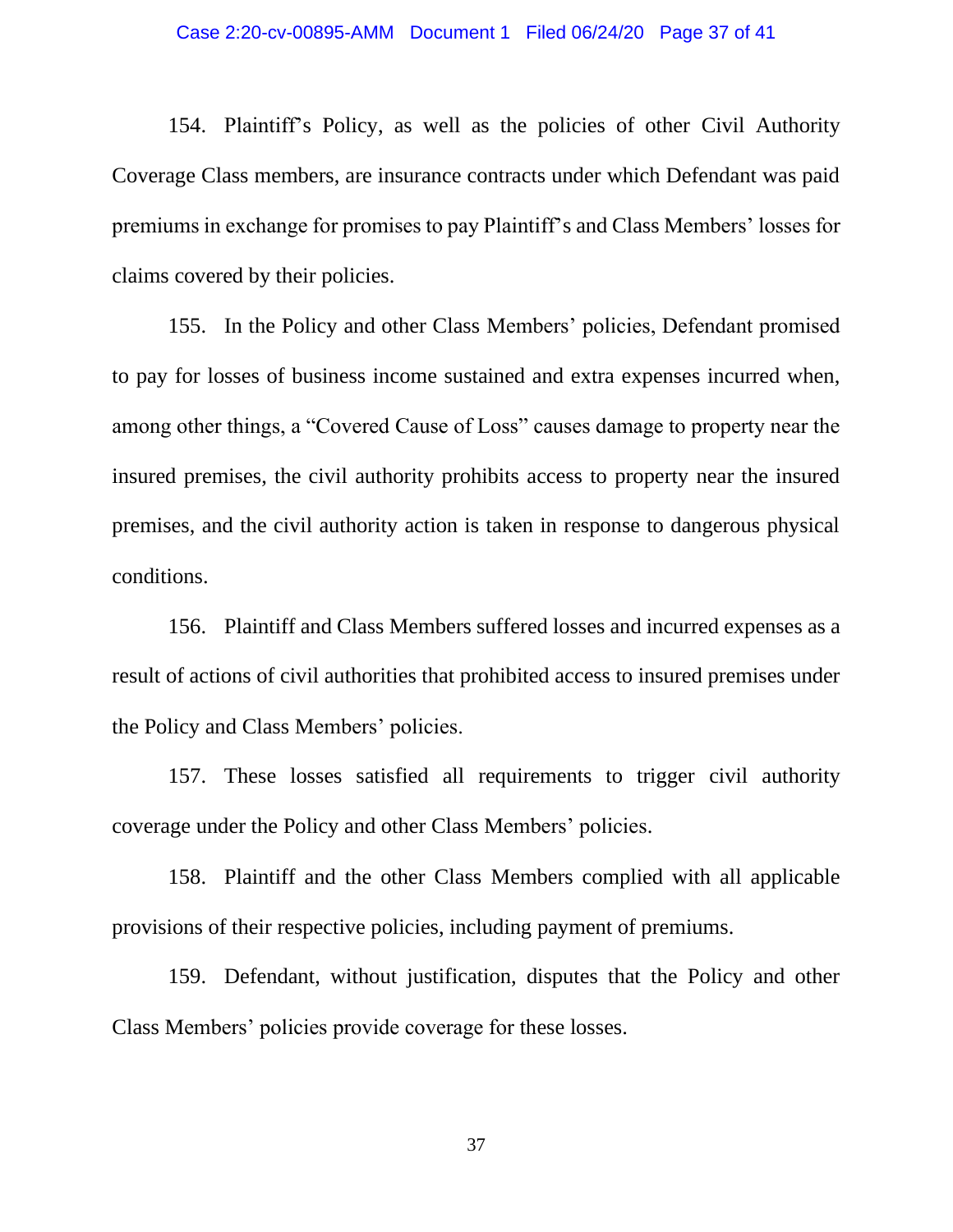#### Case 2:20-cv-00895-AMM Document 1 Filed 06/24/20 Page 37 of 41

154. Plaintiff's Policy, as well as the policies of other Civil Authority Coverage Class members, are insurance contracts under which Defendant was paid premiums in exchange for promises to pay Plaintiff's and Class Members' losses for claims covered by their policies.

155. In the Policy and other Class Members' policies, Defendant promised to pay for losses of business income sustained and extra expenses incurred when, among other things, a "Covered Cause of Loss" causes damage to property near the insured premises, the civil authority prohibits access to property near the insured premises, and the civil authority action is taken in response to dangerous physical conditions.

156. Plaintiff and Class Members suffered losses and incurred expenses as a result of actions of civil authorities that prohibited access to insured premises under the Policy and Class Members' policies.

157. These losses satisfied all requirements to trigger civil authority coverage under the Policy and other Class Members' policies.

158. Plaintiff and the other Class Members complied with all applicable provisions of their respective policies, including payment of premiums.

159. Defendant, without justification, disputes that the Policy and other Class Members' policies provide coverage for these losses.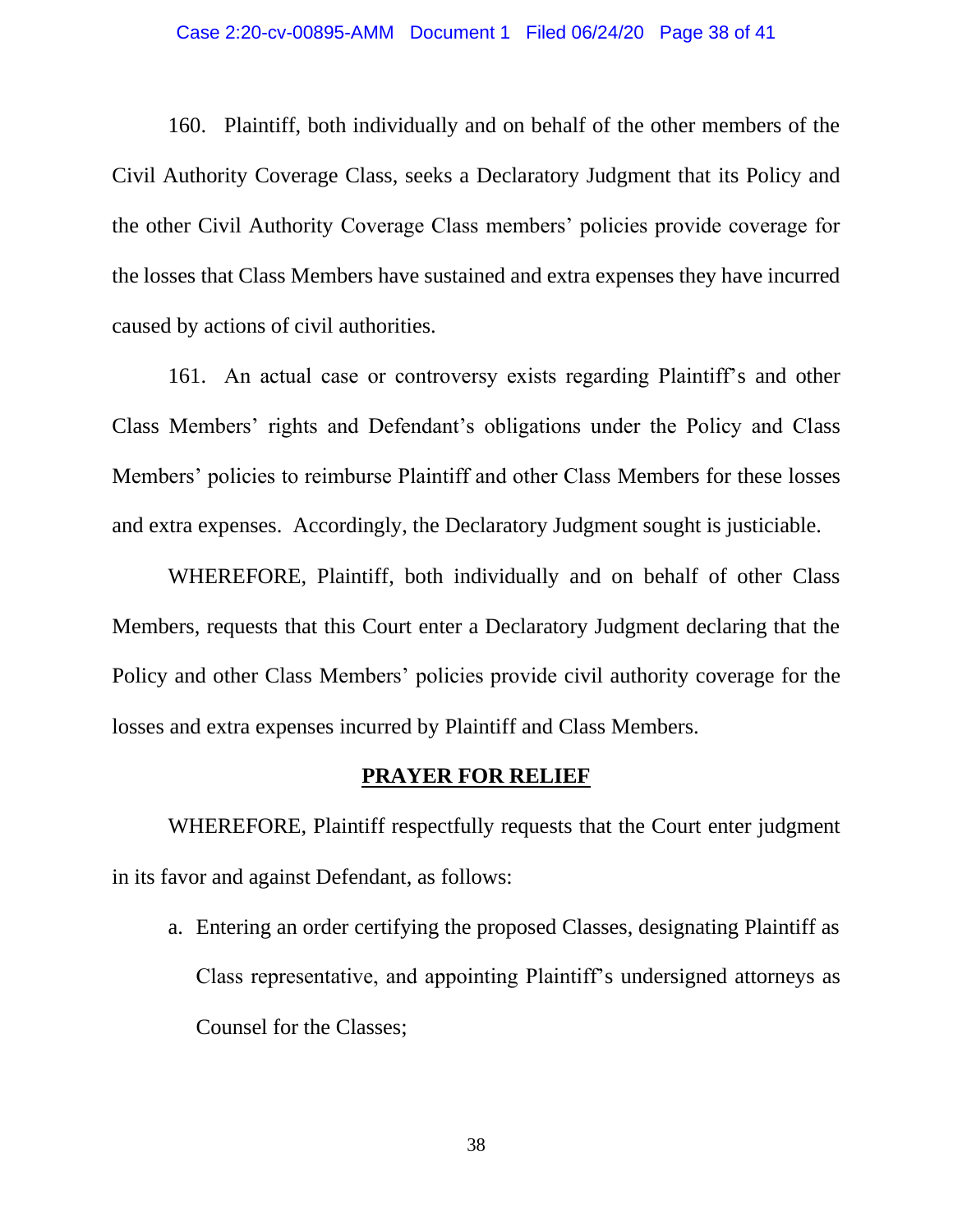#### Case 2:20-cv-00895-AMM Document 1 Filed 06/24/20 Page 38 of 41

160. Plaintiff, both individually and on behalf of the other members of the Civil Authority Coverage Class, seeks a Declaratory Judgment that its Policy and the other Civil Authority Coverage Class members' policies provide coverage for the losses that Class Members have sustained and extra expenses they have incurred caused by actions of civil authorities.

161. An actual case or controversy exists regarding Plaintiff's and other Class Members' rights and Defendant's obligations under the Policy and Class Members' policies to reimburse Plaintiff and other Class Members for these losses and extra expenses. Accordingly, the Declaratory Judgment sought is justiciable.

WHEREFORE, Plaintiff, both individually and on behalf of other Class Members, requests that this Court enter a Declaratory Judgment declaring that the Policy and other Class Members' policies provide civil authority coverage for the losses and extra expenses incurred by Plaintiff and Class Members.

### **PRAYER FOR RELIEF**

WHEREFORE, Plaintiff respectfully requests that the Court enter judgment in its favor and against Defendant, as follows:

a. Entering an order certifying the proposed Classes, designating Plaintiff as Class representative, and appointing Plaintiff's undersigned attorneys as Counsel for the Classes;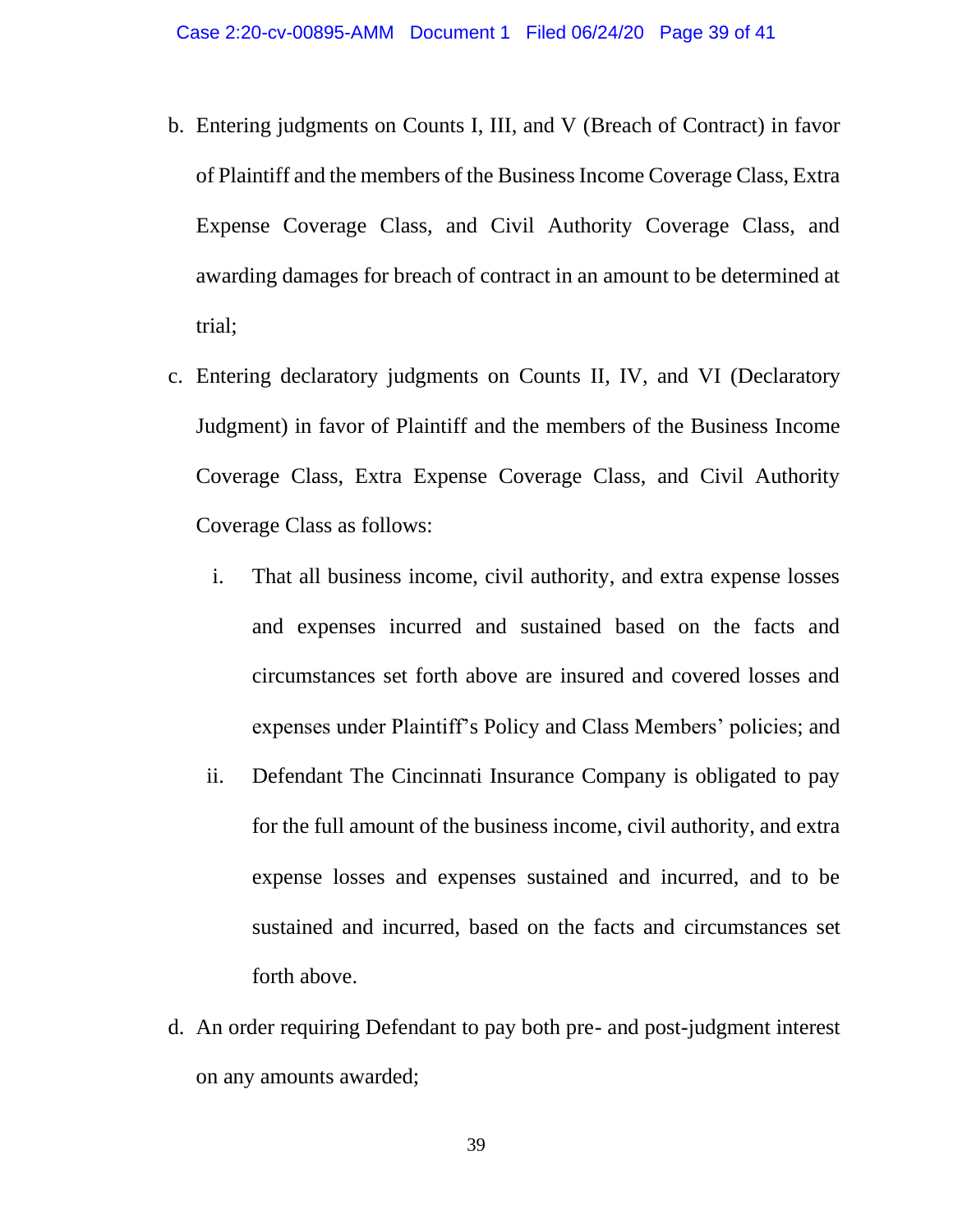- b. Entering judgments on Counts I, III, and V (Breach of Contract) in favor of Plaintiff and the members of the Business Income Coverage Class, Extra Expense Coverage Class, and Civil Authority Coverage Class, and awarding damages for breach of contract in an amount to be determined at trial;
- c. Entering declaratory judgments on Counts II, IV, and VI (Declaratory Judgment) in favor of Plaintiff and the members of the Business Income Coverage Class, Extra Expense Coverage Class, and Civil Authority Coverage Class as follows:
	- i. That all business income, civil authority, and extra expense losses and expenses incurred and sustained based on the facts and circumstances set forth above are insured and covered losses and expenses under Plaintiff's Policy and Class Members' policies; and
	- ii. Defendant The Cincinnati Insurance Company is obligated to pay for the full amount of the business income, civil authority, and extra expense losses and expenses sustained and incurred, and to be sustained and incurred, based on the facts and circumstances set forth above.
- d. An order requiring Defendant to pay both pre- and post-judgment interest on any amounts awarded;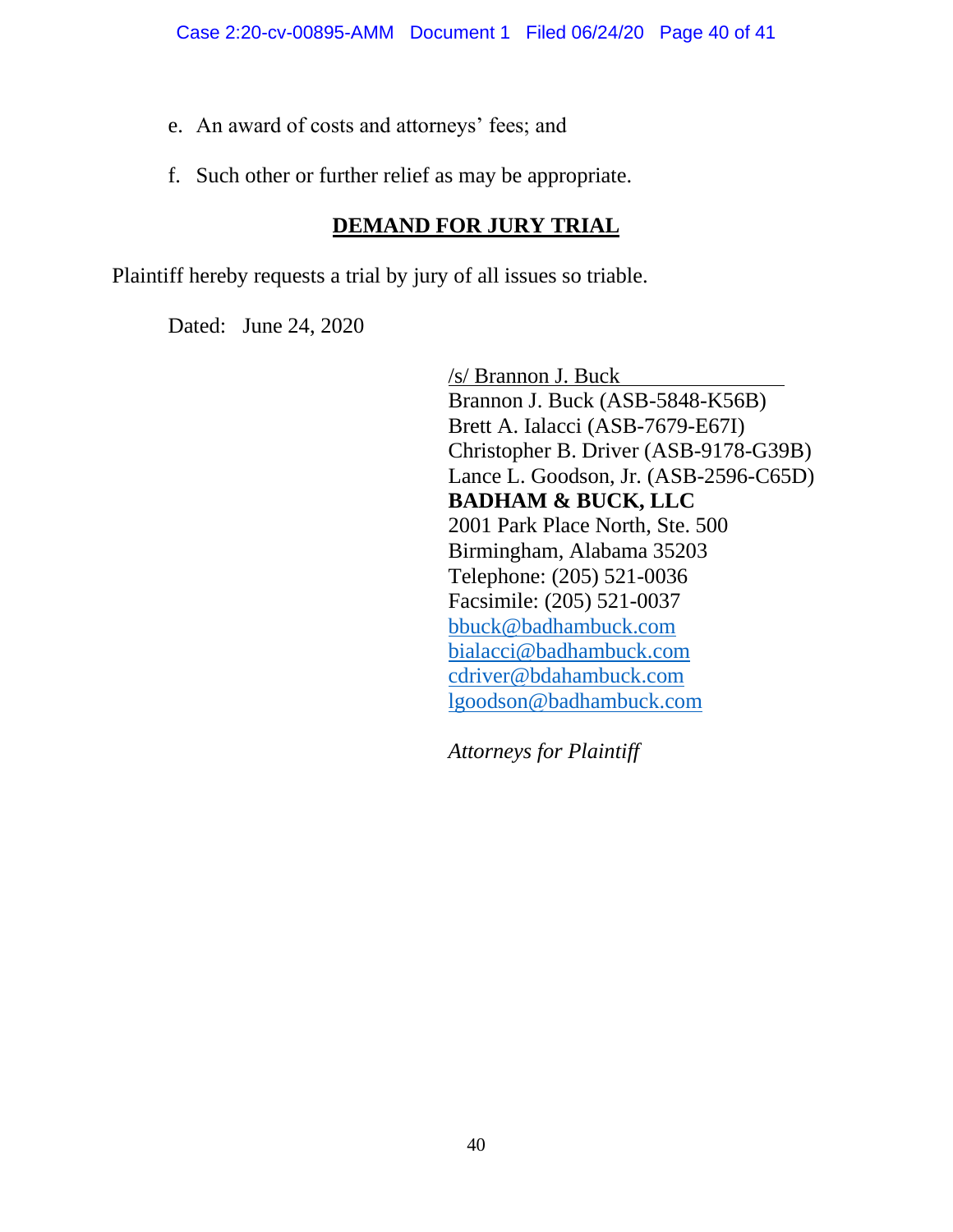- e. An award of costs and attorneys' fees; and
- f. Such other or further relief as may be appropriate.

# **DEMAND FOR JURY TRIAL**

Plaintiff hereby requests a trial by jury of all issues so triable.

Dated: June 24, 2020

/s/ Brannon J. Buck Brannon J. Buck (ASB-5848-K56B) Brett A. Ialacci (ASB-7679-E67I) Christopher B. Driver (ASB-9178-G39B) Lance L. Goodson, Jr. (ASB-2596-C65D) **BADHAM & BUCK, LLC** 2001 Park Place North, Ste. 500 Birmingham, Alabama 35203 Telephone: (205) 521-0036 Facsimile: (205) 521-0037 [bbuck@badhambuck.com](mailto:bbuck@badhambuck.com) [bialacci@badhambuck.com](mailto:bialacci@badhambuck.com) [cdriver@bdahambuck.com](mailto:cdriver@bdahambuck.com) [lgoodson@badhambuck.com](mailto:lgoodson@badhambuck.com)

*Attorneys for Plaintiff*